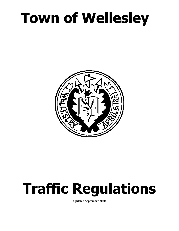# **Town of Wellesley**



# **Traffic Regulations**

**Updated September 2020**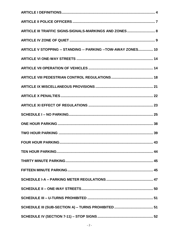| ARTICLE III TRAFFIC SIGNS-SIGNALS-MARKINGS AND ZONES 8         |
|----------------------------------------------------------------|
|                                                                |
| ARTICLE V STOPPING -- STANDING -- PARKING -- TOW-AWAY ZONES 10 |
|                                                                |
|                                                                |
|                                                                |
|                                                                |
|                                                                |
|                                                                |
|                                                                |
|                                                                |
|                                                                |
|                                                                |
|                                                                |
|                                                                |
|                                                                |
|                                                                |
|                                                                |
|                                                                |
|                                                                |
|                                                                |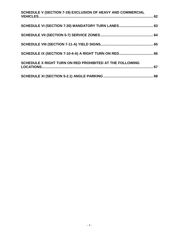| SCHEDULE V (SECTION 7-19) EXCLUSION OF HEAVY AND COMMERCIAL |  |
|-------------------------------------------------------------|--|
| SCHEDULE VI (SECTION 7-20) MANDATORY TURN LANES 63          |  |
|                                                             |  |
|                                                             |  |
|                                                             |  |
| SCHEDULE X RIGHT TURN ON RED PROHIBITED AT THE FOLLOWING    |  |
|                                                             |  |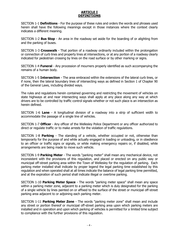#### **ARTICLE I DEFINITIONS**

<span id="page-3-0"></span>SECTION 1-1 **Definitions** - For the purpose of these rules and orders the words and phrases used herein shall have the following meanings except in those instances where the context clearly indicates a different meaning.

SECTION 1-2 **Bus Stop** - An area in the roadway set aside for the boarding of or alighting from and the parking of buses.

SECTION 1-3 **Crosswalk** - That portion of a roadway ordinarily included within the prolongation or connection of curb lines and property lines at intersections, or at any portion of a roadway clearly indicated for pedestrian crossing by lines on the road surface or by other marking or signs.

SECTION 1-4 **Funeral** - Any procession of mourners properly identified as such accompanying the remains of a human body.

SECTION 1-5 **Intersection** - The area embraced within the extensions of the lateral curb lines, or if none, then the lateral boundary lines of intersecting ways as defined in Section 1 of Chapter 90 of the General Laws, including divided ways.

The rules and regulations herein contained governing and restricting the movement of vehicles on state highways at and near intersecting ways shall apply at any place along any way at which drivers are to be controlled by traffic control signals whether or not such place is an intersection as herein defined.

SECTION 1-6 **Lane** - A longitudinal division of a roadway into a strip of sufficient width to accommodate the passage of a single line of vehicles.

SECTION 1-7 **Officer** - Any officer of the Wellesley Police Department or any officer authorized to direct or regulate traffic or to make arrests for the violation of traffic regulations.

SECTION 1-8 **Parking** - The standing of a vehicle, whether occupied or not, otherwise than temporarily for the purpose of and while actually engaged in loading or unloading, or in obedience to an officer or traffic signs or signals, or while making emergency repairs or, if disabled, while arrangements are being made to move such vehicle.

SECTION 1-9 **Parking Meter** - The words "parking meter" shall mean any mechanical device, not inconsistent with the provisions of this regulation, and placed or erected on any public way or municipal off-street parking area within the Town of Wellesley for the regulation of parking. Each parking meter installed shall indicate by proper legend the legal parking time established by this regulation and when operated shall at all times indicate the balance of legal parking time permitted, and at the expiration of such period shall indicate illegal or overtime parking.

SECTION 1-10 **Parking Meter Space** - The words "parking meter space" shall mean any space within a parking meter zone, adjacent to a parking meter which is duly designated for the parking of a single vehicle by lines painted on or affixed to the surface of the street or municipal off-street parking area adjacent to or adjoining each parking meter.

SECTION 1-11 **Parking Meter Zone** - The words "parking meter zone" shall mean and include any street or portion thereof or municipal off-street parking area upon which parking meters are installed and in operation and upon which parking of vehicles is permitted for a limited time subject to compliance with the further provisions of this regulation.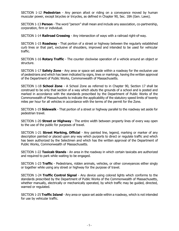SECTION 1-12 **Pedestrian** - Any person afoot or riding on a conveyance moved by human muscular power, except bicycles or tricycles, as defined in Chapter 90, Sec. 18A (Gen. Laws).

SECTION 1-13 **Person** - The word "person" shall mean and include any association, co-partnership, corporation, firm or individual.

SECTION 1-14 **Railroad Crossing** - Any intersection of ways with a railroad right-of-way.

SECTION 1-15 **Roadway** - That portion of a street or highway between the regularly established curb lines or that part, exclusive of shoulders, improved and intended to be used for vehicular traffic.

SECTION 1-16 **Rotary Traffic** - The counter clockwise operation of a vehicle around an object or structure.

SECTION 1-17 **Safety Zone** - Any area or space set aside within a roadway for the exclusive use of pedestrians and which has been indicated by signs, lines or markings, having the written approval of the Department of Public Works, Commonwealth of Massachusetts.

SECTION 1-18 **School Zone** - A School Zone as referred to in Chapter 90, Section 17 shall be construed to be only that section of a way which abuts the grounds of a school and is posted and marked in accordance with the standards prescribed by the Department of Public Works of the Commonwealth of Massachusetts to indicate the applicability of the statutory speed limits of twenty miles per hour for all vehicles in accordance with the terms of the permit for the Zone.

SECTION 1-19 **Sidewalk** - That portion of a street or highway parallel to the roadway set aside for pedestrian travel.

SECTION 1-20 **Street or Highway** - The entire width between property lines of every way open to the use of the public for purposes of travel.

SECTION 1-21 **Street Marking, Official** - Any painted line, legend, marking or marker of any description painted or placed upon any way which purports to direct or regulate traffic and which has been authorized by the Selectmen and which has the written approval of the Department of Public Works, Commonwealth of Massachusetts.

SECTION 1-22 **Taxicab Stands** - An area in the roadway in which certain taxicabs are authorized and required to park while waiting to be engaged.

SECTION 1-23 **Traffic** - Pedestrians, ridden animals, vehicles, or other conveyances either singly or together while using any street or highway for the purpose of travel.

SECTION 1-24 **Traffic Control Signal** - Any device using colored lights which conforms to the standards prescribed by the Department of Public Works of the Commonwealth of Massachusetts, whether manually, electrically or mechanically operated, by which traffic may be guided, directed, warned or regulated.

SECTION 1-25 **Traffic Island** - Any area or space set aside within a roadway, which is not intended for use by vehicular traffic.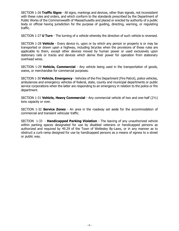SECTION 1-26 **Traffic Signs** - All signs, markings and devices, other than signals, not inconsistent with these rules and orders, and which conform to the standards prescribed by the Department of Public Works of the Commonwealth of Massachusetts and placed or erected by authority of a public body or official having jurisdiction for the purpose of guiding, directing, warning, or regulating traffic.

SECTION 1-27 **U Turn** - The turning of a vehicle whereby the direction of such vehicle is reversed.

SECTION 1-28 **Vehicle** - Every device in, upon or by which any person or property is or may be transported or drawn upon a highway, including bicycles when the provisions of these rules are applicable to them, except other devices moved by human power or used exclusively upon stationary rails or tracks and devices which derive their power for operation from stationary overhead wires.

SECTION 1-29 **Vehicle, Commercial** - Any vehicle being used in the transportation of goods, wares, or merchandise for commercial purposes.

SECTION 1-30 **Vehicle, Emergency** - Vehicles of the Fire Department (Fire Patrol), police vehicles, ambulances and emergency vehicles of federal, state, county and municipal departments or public service corporations when the latter are responding to an emergency in relation to the police or fire department.

SECTION 1-31 **Vehicle, Heavy Commercial** - Any commercial vehicle of two and one-half (2½) tons capacity or over.

SECTION 1-32 **Service Zones** - An area in the roadway set aside for the accommodation of commercial and transient vehicular traffic.

SECTION 1-33 - **Handicapped Parking Violation** - The leaving of any unauthorized vehicle within parking spaces designated for use by disabled veterans or handicapped persons as authorized and required by 49.29 of the Town of Wellesley By-Laws, or in any manner as to obstruct a curb ramp designed for use by handicapped persons as a means of egress to a street or public way.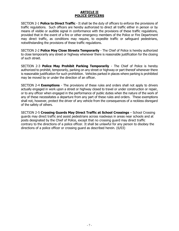#### **ARTICLE II POLICE OFFICERS**

<span id="page-6-0"></span>SECTION 2-1 **Police to Direct Traffic** - It shall be the duty of officers to enforce the provisions of traffic regulations. Such officers are hereby authorized to direct all traffic either in person or by means of visible or audible signal in conformance with the provisions of these traffic regulations, provided that in the event of a fire or other emergency members of the Police or Fire Department may direct traffic, as conditions may require, to expedite traffic or safeguard pedestrians, notwithstanding the provisions of these traffic regulations.

SECTION 2-2 **Police May Close Streets Temporarily** - The Chief of Police is hereby authorized to close temporarily any street or highway whenever there is reasonable justification for the closing of such street.

SECTION 2-3 **Police May Prohibit Parking Temporarily** - The Chief of Police is hereby authorized to prohibit, temporarily, parking on any street or highway or part thereof whenever there is reasonable justification for such prohibition. Vehicles parked in places where parking is prohibited may be moved by or under the direction of an officer.

SECTION 2-4 **Exemptions** - The provisions of these rules and orders shall not apply to drivers actually engaged in work upon a street or highway closed to travel or under construction or repair, or to any officer when engaged in the performance of public duties when the nature of the work of any of these necessitates a departure from any part of these rules and orders. These exemptions shall not, however, protect the driver of any vehicle from the consequences of a reckless disregard of the safety of others.

SECTION 2-5 **Crossing Guards May Direct Traffic at School Crossings** – School Crossing guards may direct traffic and assist pedestrians across roadways in areas near schools and at posts designated by the Chief of Police, except that no crossing guard may direct traffic contrary to the directions of a police officer. It shall be unlawful for any person to disobey the directions of a police officer or crossing guard as described herein. (6/03)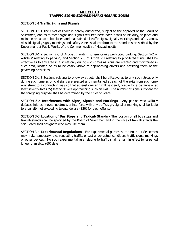#### **ARTICLE III TRAFFIC SIGNS-SIGNALS-MARKINGSAND ZONES**

#### <span id="page-7-0"></span>SECTION 3-1 **Traffic Signs and Signals**

SECTION 3-1.1 The Chief of Police is hereby authorized, subject to the approval of the Board of Selectmen, and as to those signs and signals required hereunder it shall be his duty, to place and maintain or cause to be placed and maintained all traffic signs, signals, markings and safety zones. All said signals, signs, markings and safety zones shall conform to the standards prescribed by the Department of Public Works of the Commonwealth of Massachusetts.

SECTION 3-1.2 Section 2-3 of Article II relating to temporarily prohibited parking, Section 5-2 of Article V relating to parking, and Section 7-8 of Article VII relating to prohibited turns, shall be effective as to any area in a street only during such times as signs are erected and maintained in such area, located so as to be easily visible to approaching drivers and notifying them of the governing provisions.

SECTION 3-1.3 Sections relating to one-way streets shall be effective as to any such street only during such time as official signs are erected and maintained at each of the exits from such oneway street to a connecting way so that at least one sign will be clearly visible for a distance of at least seventy-five (75) feet to drivers approaching such an exit. The number of signs sufficient for the foregoing purpose shall be determined by the Chief of Police.

SECTION 3-2 **Interference with Signs, Signals and Markings** - Any person who willfully defaces, injures, moves, obstructs or interferes with any traffic sign, signal or marking shall be liable to a penalty not exceeding twenty dollars (\$20) for each offense.

SECTION 3-3 **Location of Bus Stops and Taxicab Stands** - The location of all bus stops and taxicab stands shall be specified by the Board of Selectmen and in the case of taxicab stands the said Board shall designate who may use them.

SECTION 3-4 **Experimental Regulations** - For experimental purposes, the Board of Selectmen may make temporary rules regulating traffic, or test under actual conditions traffic signs, markings or other devices. No such experimental rule relating to traffic shall remain in effect for a period longer than sixty (60) days.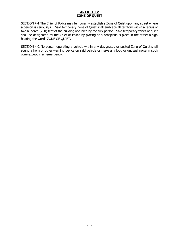#### **ARTICLE IV ZONE OF QUIET**

<span id="page-8-0"></span>SECTION 4-1 The Chief of Police may temporarily establish a Zone of Quiet upon any street where a person is seriously ill. Said temporary Zone of Quiet shall embrace all territory within a radius of two hundred (200) feet of the building occupied by the sick person. Said temporary zones of quiet shall be designated by the Chief of Police by placing at a conspicuous place in the street a sign bearing the words ZONE OF QUIET.

SECTION 4-2 No person operating a vehicle within any designated or posted Zone of Quiet shall sound a horn or other warning device on said vehicle or make any loud or unusual noise in such zone except in an emergency.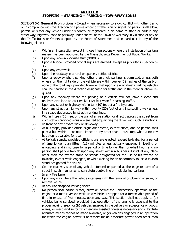#### **ARTICLE V STOPPING -- STANDING -- PARKING --TOW-AWAY ZONES**

<span id="page-9-0"></span>SECTION 5-1 **General Prohibitions** - Except when necessary to avoid conflict with other traffic or in compliance with the direction of a police officer or traffic sign or signal, no person shall allow, permit, or suffer any vehicle under his control or registered in his name to stand or park in any street way, highway, road or parkway under control of the Town of Wellesley in violation of any of the Traffic Rules or Orders adopted by the Board of Selectmen and in particular in any of the following places:

- (a) Within an intersection except in those intersections where the installation of parking meters has been approved by the Massachusetts Department of Public Works.
- (b) Upon any sidewalk or tree lawn (9/8/86)
- (c) Upon a bridge, provided official signs are erected, except as provided in Section 5- 3.2.
- (d) Upon any crosswalk.
- (e) Upon the roadway in a rural or sparsely settled district.
- (f) Upon a roadway where parking, other than angle parking, is permitted, unless both wheels on the right side of the vehicle are within twelve (12) inches of the curb or edge of the roadway - provided however that upon one way streets parking vehicles shall be headed in the direction designated for traffic and in the manner above required.
- (g) Upon any roadway where the parking of a vehicle will not leave a clear and unobstructed lane at least twelve (12) feet wide for passing traffic.
- (h) Upon any street or highway within ten (10) feet of a fire hydrant.
- (i) Upon any street or highway within twenty (20) feet of any intersecting way unless in a space designated by street marking lines.
- (j) Within fifteen (15) feet of the wall of a fire station or directly across the street from such station provided signs are erected acquainting the driver with such restrictions.
- (k) In front of any private way or driveway.
- (l) At bus stops, provided official signs are erected, except buses, and no person shall park a bus within a business district at any other than a bus stop, when a nearby bus stop is available for use.
- (m) At taxicab stands, provided official signs are erected, except taxicabs, for a period of time longer than fifteen (15) minutes unless actually engaged in loading or unloading, and in no case for a period of time longer than one-half hour, and no person shall park a taxicab upon any street within a business district at any place other than the taxicab stand or stands designated for the use of his taxicab or taxicabs, except while engaged, or while waiting for an opportunity to use a taxicab stand designated for his use.
- (n) On the roadway side of any vehicle stopped or parked at the edge or curb of a street in such manner as to constitute double line or multiple line parking.
- (o) In any Fire Lane
- (p) Upon any way where the vehicle interferes with the removal or plowing of snow, or removal of ice
- (q) In any Handicapped Parking space
- (r) No person shall cause, suffer, allow or permit the unnecessary operation of the engine of a motor vehicle while said vehicle is stopped for a foreseeable period of time in excess of five minutes, upon any way. This section shall not apply to (a) vehicles being serviced, provided that operation of the engine is essential to the proper repair thereof, or (b) vehicles engaged in the delivery or acceptance of goods, wares, or merchandise for which engine assisted power is necessary and substitute alternate means cannot be made available, or (c) vehicles engaged in an operation for which the engine power is necessary for an associate power need other than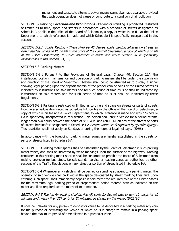movement and substitute alternate power means cannot be made available provided that such operation does not cause or contribute to a condition of air pollution.

SECTION 5-2 **Parking Locations and Prohibitions** - Parking or standing is prohibited, restricted or limited as to time, space and streets in accordance with a schedule of streets designated as Schedule I, on file in the office of the Board of Selectmen, a copy of which is on file at the Police Department, to which reference is made and which Schedule I is specifically incorporated in this section.

SECTION 5-2.1 Angle Parking - There shall be 45 degree angle parking allowed on streets as designated as Schedule XI, on file in the office of the Board of Selectmen, a copy of which is on file at the Police Department, to which reference is made and which Section XI is specifically incorporated in this section. (1/85)

#### SECTION 5-3 **Parking Meters**

SECTION 5-3.1 Pursuant to the Provisions of General Laws, Chapter 40, Section 22A, the installation, location, maintenance and operation of parking meters shall be under the supervision and direction of the Board of Selectmen. Meters shall be so constructed as to display a signal showing legal parking upon the deposit therein of the proper coin or coins of the United States as indicated by instructions on said meters and for such period of time as is or shall be indicated by instructions on said meters and for such period of time as is or shall be indicated by these Regulations.

SECTION 5-3.2 Parking is restricted or limited as to time and space on streets or parts of streets listed in a schedule designated as Schedule I-A, on file in the office of the Board of Selectmen, a copy of which is on file at the Police Department, to which reference is made and which Schedule I-A is specifically incorporated in this section. No person shall park a vehicle for a period of time longer than two hours between the hours of 8:00 A.M. and 6:00 P.M. on any of the streets or parts of streets hereinafter designated in Schedule I-A except where so designated by specific signage. This restriction shall not apply on Sundays or during the hours of legal holidays. (5/96)

In accordance with the foregoing, parking meter zones are hereby established in the streets or parts of streets listed in Schedule I-A.

SECTION 5-3.3 Parking meter spaces shall be established by the Board of Selectmen in such parking meter zones, and shall be indicated by white markings upon the surface of the highway. Nothing contained in this parking meter section shall be construed to prohibit the Board of Selectmen from making provision for bus stops, taxicab stands, service or loading zones as authorized by other sections of the Traffic Regulations on any street or portion of street listed in Schedule I-A.

SECTION 5-3.4 Whenever any vehicle shall be parked or standing adjacent to a parking meter, the operator of said vehicle shall park within the space designated by street marking lines and, upon entering such space, shall immediately deposit in said meter the required coin of the United States for the maximum legal parking period or proportionate period thereof, both as indicated on the meter and if so required set the mechanism in motion.

#### SECTION 5-3.5 The fee for parking shall be five (5) cents for five minutes or ten (10) cents for 10 minutes and twenty five (25) cents for 30 minutes, as shown on the meter. (5/21/90)

It shall be unlawful for any person to deposit or cause to be deposited in a parking meter any coin for the purpose of permitting the vehicle of which he is in charge to remain in a parking space beyond the maximum period of time allowed in a particular zone.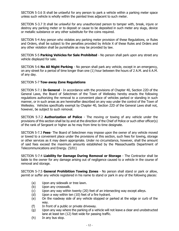SECTION 5-3.6 It shall be unlawful for any person to park a vehicle within a parking meter space unless such vehicle is wholly within the painted lines adjacent to such meter.

SECTION 5-3.7 It shall be unlawful for any unauthorized person to tamper with, break, injure or destroy any parking meter or to deposit or cause to be deposited in such meter any slugs, device or metallic substance or any other substitute for the coins required.

SECTION 5-4 Any person who violates any parking meter provision of these Regulations, or Rules and Orders, shall be subject to the penalties provided by Article X of these Rules and Orders and any other violation shall be punishable as may be provided by law.

SECTION 5-5 **Parking Vehicles for Sale Prohibited** - No person shall park upon any street any vehicle displayed for sale.

SECTION 5-6 **No All Night Parking** - No person shall park any vehicle, except in an emergency, on any street for a period of time longer than one (1) hour between the hours of 2 A.M. and 6 A.M. of any day.

#### SECTION 5-7 **Tow-away Zone Regulations**

SECTION 5-7.1 **In General** - In accordance with the provisions of Chapter 40, Section 22D of the General Laws, the Board of Selectmen of the Town of Wellesley hereby enacts the following regulations authorizing the removal to a convenient place of vehicles parked or standing in such manner, or in such areas as are hereinafter described on any way under the control of the Town of Wellesley. Vehicles specifically exempt by Chapter 40, Section 22D of the General Laws shall not, however, be subject to such removal.

SECTION 5-7.2 **Authorization of Police** - The moving or towing of any vehicle under the provisions of this section shall be by and at the direction of the Chief of Police or such other officer(s) of the rank of Sergeant or higher as he may from time to time designate.

SECTION 5-7.3 **Fees**- The Board of Selectmen may impose upon the owner of any vehicle moved or towed to a convenient place under the provisions of this section, such fees for towing, storage or other services as it may deem appropriate. Under no circumstance, however, shall the amount of said fees exceed the maximum amounts established by the Massachusetts Department of Telecommunications and Energy. (5/01)

SECTION 5-7.4 **Liability for Damage During Removal or Storage** - The Contractor shall be liable to the owner for any damage arising out of negligence caused to a vehicle in the course of removal and storage.

SECTION 5-7.5 **General Prohibition Towing Zones** - No person shall stand or park or allow, permit or suffer any vehicle registered in his name to stand or park in any of the following places:

- (a) Upon any sidewalk or tree lawn.
- (b) Upon any crosswalk.
- (c) Upon any way within twenty (20) feet of an intersecting way except alleys.
- (d) Upon a way within ten (10) feet of a fire hydrant.
- (e) On the roadway side of any vehicle stopped or parked at the edge or curb of the way.
- (f) In front of a public or private driveway.
- (g) Upon any way where the parking of a vehicle will not leave a clear and unobstructed lane at least ten (12) feet wide for passing traffic.
- (h) In any bus stop.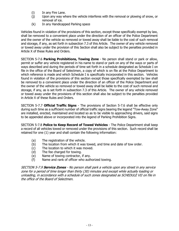- (i) In any Fire Lane.
- (j) Upon any way where the vehicle interferes with the removal or plowing of snow, or removal of ice.
- (k) In any Handicapped Parking space

Vehicles found in violation of the provisions of this section, except those specifically exempt by law, shall be removed to a convenient place under the direction of an officer of the Police Department and the owner of the vehicle so removed or towed away shall be liable to the cost of such removal and storage, if any, as set forth in subsection 7.3 of this Article. The owner of any vehicle removed or towed away under the provision of this Section shall also be subject to the penalties provided in Article X of these Rules and Orders.

SECTION 5-7.6 **Parking Prohibitions, Towing Zone** - No person shall stand or park or allow, permit or suffer any vehicle registered in his name to stand or park on any of the ways or parts of ways described and during the periods of time set forth in a schedule designated as Schedule I on file in the office of the Board of Selectmen, a copy of which is on file at the Police Department to which reference is made and which Schedule I is specifically incorporated in this section. Vehicles found in violation of the provisions of this section except those specifically exempted by law shall be removed to a convenient place under the direction of an officer of the Police Department and the owner of the vehicle so removed or towed away shall be liable to the cost of such removal and storage, if any, as is set forth in subsection 7.3 of this Article. The owner of any vehicle removed or towed away under the provisions of this section shall also be subject to the penalties provided in Article X of these Rules and Orders.

SECTION 5-7.7 **Official Traffic Signs** - The provisions of Section 5-7.6 shall be effective only during such time as a sufficient number of official traffic signs bearing the legend "Tow-Away Zone" are installed, erected, maintained and located so as to be visible to approaching drivers, said signs to be appended above or incorporated into the legend of Parking Prohibition Signs.

SECTION 5-7.8 **Police to Keep Record of Towed Vehicles** - The Police Department shall keep a record of all vehicles towed or removed under the provisions of this section. Such record shall be retained for one (1) year and shall contain the following information:

- (a) The registration of the vehicle.
- (b) The location from which it was towed, and time and date of tow order.
- (c) The location to which it was moved.
- (d) The fee charged for towing.
- (e) Name of towing contractor, if any.
- (f) Name and rank of officer who authorized towing.

SECTION 5-7.9 **Service Zones** - No person shall park a vehicle upon any street in any service zone for a period of time longer than thirty (30) minutes and except while actually loading or unloading, in accordance with a schedule of such zones designated as SCHEDULE VII on file in the office of the Board of Selectmen.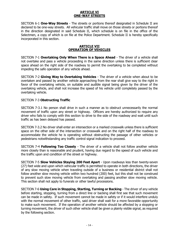#### **ARTICLE VI ONE-WAY STREETS**

<span id="page-13-0"></span>SECTION 6-1 **One-Way Streets** - The streets or portions thereof designated in Schedule II are declared to be one-way streets. All vehicular traffic shall move on those streets or portions thereof in the direction designated in said Schedule II, which schedule is on file in the office of the Selectmen, a copy of which is on file at the Police Department. Schedule II is hereby specifically incorporated in this section.

#### **ARTICLE VII OPERATION OF VEHICLES**

<span id="page-13-1"></span>SECTION 7-1 **Overtaking Only When There is a Space Ahead** - The driver of a vehicle shall not overtake and pass a vehicle proceeding in the same direction unless there is sufficient clear space ahead on the right side of the roadway to permit the overtaking to be completed without impeding the safe operation of any vehicle ahead.

SECTION 7-2 **Giving Way to Overtaking Vehicles** - The driver of a vehicle when about to be overtaken and passed by another vehicle approaching from the rear shall give way to the right in favor of the overtaking vehicle, on suitable and audible signal being given by the driver of the overtaking vehicle, and shall not increase the speed of his vehicle until completely passed by the overtaking vehicle.

#### SECTION 7-3 **Obstructing Traffic**

SECTION 7-3.1 No person shall drive in such a manner as to obstruct unnecessarily the normal movement of traffic upon any street or highway. Officers are hereby authorized to require any driver who fails to comply with this section to drive to the side of the roadway and wait until such traffic as has been delayed has passed.

SECTION 7-3.2 No driver shall enter an intersection or a marked crosswalk unless there is sufficient space on the other side of the intersection or crosswalk and on the right half of the roadway to accommodate the vehicle he is operating without obstructing the passage of other vehicles or pedestrians notwithstanding any traffic control signal indication to proceed.

SECTION 7-4 **Following Too Closely** - The driver of a vehicle shall not follow another vehicle more closely than is reasonable and prudent, having due regard to the speed of such vehicle and the traffic upon and condition of the street or highway.

SECTION 7-5 **Slow Vehicles Staying 200 Feet Apart** - Upon roadways less than twenty-seven (27) feet wide and upon which vehicular traffic is permitted to operate in both directions, the driver of any slow moving vehicle when traveling outside of a business or residential district shall not follow another slow moving vehicle within two hundred (200) feet, but this shall not be construed to prevent such slow moving vehicle from overtaking and passing another slow moving vehicle. This section shall not apply to funerals or other lawful processions.

SECTION 7-6 **Using Care in Stopping, Starting, Turning or Backing** - The driver of any vehicle before starting, stopping, turning from a direct line or backing shall first see that such movement can be made in safety. If such movement cannot be made in safety or if it would interfere unduly with the normal movement of other traffic, said driver shall wait for a more favorable opportunity to make such movement. If the operation of another vehicle should be affected by a stopping or turning movement, the driver of such other vehicle shall be given a plainly visible signal, as required by the following section.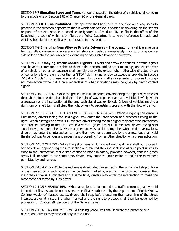SECTION 7-7 **Signaling Stops and Turns** - Under this section the driver of a vehicle shall conform to the provisions of Section 14B of Chapter 90 of the General Laws.

SECTION 7-8 **U-Turns Prohibited** - No operator shall back or turn a vehicle on a way so as to proceed in the direction opposite to that in which said vehicle is headed or travelling on the streets or parts of streets listed in a schedule designated as Schedule III, on file in the office of the Selectmen, a copy of which is on file at the Police Department, to which reference is made and which Schedule III is specifically incorporated in this section.

SECTION 7-9 **Emerging from Alley or Private Driveway** - The operator of a vehicle emerging from an alley, driveway or a garage shall stop such vehicle immediately prior to driving onto a sidewalk or onto the sidewalk area extending across such alleyway or driveway.

SECTION 7-10 **Obeying Traffic Control Signals** - Colors and arrow indications in traffic signals shall have the commands ascribed to them in this section, and no other meanings, and every driver of a vehicle or other conveyance shall comply therewith, except when otherwise directed by an officer or by a lawful sign (other than a "STOP" sign), signal or device except as provided in Section 7-16.4 of Article VII of these rules and orders. In no case shall a driver enter or proceed through an intersection without due care regardless of what indications may be given by traffic control signals.

SECTION 7-10.1 GREEN - While the green lens is illuminated, drivers facing the signal may proceed through the intersection, but shall yield the right of way to pedestrians and vehicles lawfully within a crosswalk or the intersection at the time such signal was exhibited. Drivers of vehicles making a right turn or a left turn shall yield the right of way to pedestrians crossing with the flow of traffic.

SECTION 7-10.2 RIGHT - LEFT AND VERTICAL GREEN ARROWS - When a right green arrow is illuminated, drivers facing the said signal may enter the intersection and proceed turning to the right. When a left green arrow is illuminated drivers facing the said signal may enter the intersection and proceed turning to the left. When a vertical green arrow is illuminated, drivers facing said signal may go straight ahead. When a green arrow is exhibited together with a red or yellow lens, drivers may enter the intersection to make the movement permitted by the arrow, but shall yield the right of way to vehicles and pedestrians proceeding from another direction on a green indication.

SECTION 7-10.3 YELLOW - While the yellow lens is illuminated waiting drivers shall not proceed, and any driver approaching the intersection or a marked stop line shall stop at such point unless so close to the intersection that a stop cannot be made in safety, provided however, that if a green arrow is illuminated at the same time, drivers may enter the intersection to make the movement permitted by such arrow.

SECTION 7-10.4 RED - While the red lens is illuminated drivers facing the signal shall stop outside of the intersection or such point as may be clearly marked by a sign or line, provided however, that if a green arrow is illuminated at the same time, drivers may enter the intersection to make the movement permitted by such arrow.

SECTION 7-10.5 FLASHING RED - When a red lens is illuminated in a traffic control signal by rapid intermittent flashes, and its use has been specifically authorized by the Department of Public Works, Commonwealth of Massachusetts. drivers shall stop before entering the nearer line of the street intersection, or at a stop line when marked and the right to proceed shall then be governed by provisions of Chapter 89, Section 8 of the General Laws.

SECTION 7-10.6 FLASHING YELLOW - A flashing yellow lens shall indicate the presence of a hazard and drivers may proceed only with caution.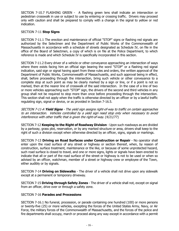SECTION 7-10.7 FLASHING GREEN - A flashing green lens shall indicate an intersection or pedestrian crosswalk in use or subject to use by entering or crossing traffic. Drivers may proceed only with caution and shall be prepared to comply with a change in the signal to yellow or red indication.

#### SECTION 7-11 **Stop Signs**

SECTION 7-11.1 The erection and maintenance of official "STOP" signs or flashing red signals are authorized by the Selectmen and the Department of Public Works of the Commonwealth of Massachusetts in accordance with a schedule of streets designated as Schedule IV, on file in the office of the Board of Selectmen, a copy of which is on file at the Police Department, to which reference is made and which Schedule IV is specifically incorporated in this section.

SECTION 7-11.2 Every driver of a vehicle or other conveyance approaching an intersection of ways where there exists facing him an official sign bearing the word "STOP" or a flashing red signal indication, said sign or signal having apart from these rules and orders, the written approval of the Department of Public Works, Commonwealth of Massachusetts, and such approval being in effect, shall, before proceeding through the intersection, bring such vehicle or other conveyance to a complete stop at such point as may be clearly marked by a sign or line, or if a point is not so marked, then at the nearer line of crosswalk of the said intersection. In the case of a line of two or more vehicles approaching such "STOP" sign, the drivers of the second and third vehicles in any group shall not be required to stop more than once before proceeding through the intersection. This section shall not apply when the traffic is otherwise directed by an officer or by a lawful traffic regulating sign, signal or device, or as provided in Section 7-16.5.

SECTION 7-11-A **Yield Signs** - The yield sign assigns right-of-way to traffic on certain approaches to an intersection. Vehicles controlled by a yield sign need stop only when necessary to avoid interference with other traffic that is given the right-of-way. (4/21/77)

SECTION 7-12 **Keeping to the Right of Roadway Division** - Upon such roadways as are divided by a parkway, grass plot, reservation, or by any marked structure or area, drivers shall keep to the right of such a division except when otherwise directed by an officer, signs, signals or markings.

SECTION 7-13 **Driving on Road Surfaces under Construction or Repair** - No operator shall enter upon the road surface of any street or highway or section thereof, when, by reason of construction, surface treatment, maintenance or the like, or because of some unprotected hazard, such road surface is closed to travel, and one or more signs, lights or signals have been erected to indicate that all or part of the road surface of the street or highway is not to be used or when so advised by an officer, watchman, member of a street or highway crew or employee of the Town, either audibly or by signals.

SECTION 7-14 **Driving on Sidewalks** - The driver of a vehicle shall not drive upon any sidewalk except at a permanent or temporary driveway.

SECTION 7-15 **Driving through Safety Zones** - The driver of a vehicle shall not, except on signal from an officer, drive over or through a safety zone.

#### SECTION 7-16 **Parades and Processions**

SECTION 7-16.1 No funeral, procession, or parade containing one hundred (100) or more persons or twenty-five (25) or more vehicles, excepting the forces of the United States Army, Navy, or Air Force, the military forces of the Commonwealth of Massachusetts, and the forces of the police and fire departments shall occupy, march or proceed along any way except in accordance with a permit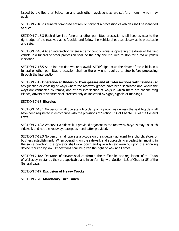issued by the Board of Selectmen and such other regulations as are set forth herein which may apply.

SECTION 7-16.2 A funeral composed entirely or partly of a procession of vehicles shall be identified as such.

SECTION 7-16.3 Each driver in a funeral or other permitted procession shall keep as near to the right edge of the roadway as is feasible and follow the vehicle ahead as closely as is practicable and safe.

SECTION 7-16.4 At an intersection where a traffic control signal is operating the driver of the first vehicle in a funeral or other procession shall be the only one required to stop for a red or yellow indication.

SECTION 7-16.5 At an intersection where a lawful "STOP" sign exists the driver of the vehicle in a funeral or other permitted procession shall be the only one required to stop before proceeding through the intersection.

SECTION 7-17 **Operation at Under- or Over-passes and at Intersections with Islands** - At any junction or crossing of ways where the roadway grades have been separated and where the ways are connected by ramps, and at any intersection of ways in which there are channelizing islands, drivers of vehicles shall proceed only as indicated by signs, signals or markings.

#### SECTION 7-18 **Bicycles**

SECTION 7-18.1 No person shall operate a bicycle upon a public way unless the said bicycle shall have been registered in accordance with the provisions of Section 11A of Chapter 85 of the General Laws.

SECTION 7-18.2 Wherever a sidewalk is provided adjacent to the roadway, bicycles may use such sidewalk and not the roadway, except as hereinafter provided.

SECTION 7-18.3 No person shall operate a bicycle on the sidewalk adjacent to a church, store, or business establishment. When operating on the sidewalk and approaching a pedestrian moving in the same direction, the operator shall slow down and give a timely warning upon the signaling device required by law. Pedestrians shall be given the right of way at all times.

SECTION 7-18.4 Operators of bicycles shall conform to the traffic rules and regulations of the Town of Wellesley insofar as they are applicable and in conformity with Section 11B of Chapter 85 of the General Laws.

#### SECTION 7-19 **Exclusion of Heavy Trucks**

#### SECTION 7-20 **Mandatory Turn Lanes**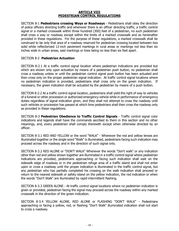#### **ARTICLE VIII PEDESTRIAN CONTROL REGULATIONS**

<span id="page-17-0"></span>SECTION 8-1 **Pedestrians crossing Ways or Roadways** - Pedestrians shall obey the direction of police officers directing traffic and whenever there is an officer directing traffic, a traffic control signal or a marked crosswalk within three hundred (300) feet of a pedestrian, no such pedestrian shall cross a way or roadway except within the limits of a marked crosswalk and as hereinafter provided in these regulations. For the purpose of these regulations, a marked crosswalk shall be construed to be only that area of a roadway reserved for pedestrian crossing located between two solid white reflectorized 12-inch pavement markings in rural areas or markings not less than six inches wide in urban areas, said markings or lines being no less than six feet apart.

#### SECTION 8-2 **Pedestrian Actuation**

SECTION 8-2.1 At a traffic control signal location where pedestrian indications are provided but which are shown only upon actuation by means of a pedestrian push button, no pedestrian shall cross a roadway unless or until the pedestrian control signal push button has been actuated and then cross only on the proper pedestrian signal indication. At traffic control signal locations where no pedestrian indication is provided, pedestrians shall cross only on the green indication. If necessary, the green indication shall be actuated by the pedestrian by means of a push button.

SECTION 8-2.2 At a traffic control signal location, pedestrians shall yield the right of way to vehicles of a funeral or other procession or authorized emergency vehicle while in performance of emergency duties regardless of signal indication given, and they shall not attempt to cross the roadway until such vehicles or procession has passed at which time pedestrians shall then cross the roadway only as provided in these regulations.

SECTION 8-3 **Pedestrian Obedience to Traffic Control Signals** - Traffic control signal color indications and legends shall have the commands ascribed to them in this section and no other meanings, and, every pedestrian shall comply therewith except when otherwise directed by an officer.

SECTION 8-3.1 RED AND YELLOW or the word "WALK" - Whenever the red and yellow lenses are illuminated together or the single word "Walk" is illuminated, pedestrians facing such indication may proceed across the roadway and in the direction of such signal only.

SECTION 8-3.2 RED ALONE or "DON'T WALK" Whenever the words "Don't walk" or any indication other than red and yellow shown together are illuminated in a traffic control signal where pedestrian indications are provided, pedestrians approaching or facing such indication shall wait on the sidewalk edge of roadway or in the pedestrian refuge area of a traffic island and shall not enter upon or cross a roadway until the proper indication is illuminated in the traffic control signal, but any pedestrian who has partially completed his crossing on the walk indication shall proceed or return to the nearest sidewalk or safety island on the yellow indication, the red indication or when the words "Don't Walk" are illuminated by rapid intermittent flashing.

SECTION 8-3.3 GREEN ALONE - At traffic control signal locations where no pedestrian indication is given or provided, pedestrian facing the signal may proceed across the roadway within any marked crosswalk in the direction of the green indication.

SECTION 8-3.4 YELLOW ALONE, RED ALONE or FLASHING "DON'T WALK" - Pedestrians approaching or facing a yellow, red, or flashing "Don't Walk" illuminated indication shall not start to cross a roadway.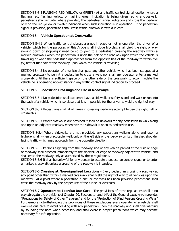SECTION 8-3.5 FLASHING RED, YELLOW or GREEN - At any traffic control signal location where a flashing red, flashing yellow, or flashing green indication is being given facing a crosswalk, pedestrians shall actuate, where provided, the pedestrian signal indication and cross the roadway only on the red-yellow or "Walk" indication when such indication is in operation. If no pedestrian signal is provided, pedestrians shall cross within crosswalks with due care.

#### SECTION 8-4 **Vehicle Operation at Crosswalks**

SECTION 8-4.1 When traffic control signals are not in place or not in operation the driver of a vehicle, which for the purposes of this Article shall include bicycles, shall yield the right of way slowing down or stopping if need be so to yield to a pedestrian crossing the roadway within a marked crosswalk when the pedestrian is upon the half of the roadway upon which the vehicle is travelling or when the pedestrian approaches from the opposite half of the roadway to within five (5) feet of that half of the roadway upon which the vehicle is travelling.

SECTION 8-4.2 No operator of a vehicle shall pass any other vehicle which has been stopped at a marked crosswalk to permit a pedestrian to cross a way, nor shall any operator enter a marked crosswalk until there is sufficient space on the other side of the crosswalk to accommodate the vehicle he is operating notwithstanding any traffic control signal indication to proceed.

#### SECTION 8-5 **Pedestrian Crossings and Use of Roadways**

SECTION 8-5.1 No pedestrian shall suddenly leave a sidewalk or safety island and walk or run into the path of a vehicle which is so close that it is impossible for the driver to yield the right of way.

SECTION 8-5.2 Pedestrians shall at all times in crossing roadways attempt to use the right half of crosswalks.

SECTION 8-5.3 Where sidewalks are provided it shall be unlawful for any pedestrian to walk along and upon an adjacent roadway whenever the sidewalk is open to pedestrian use.

SECTION 8-5.4 Where sidewalks are not provided, any pedestrian walking along and upon a highway shall, when practicable, walk only on the left side of the roadway on its unfinished shoulder facing traffic which may approach from the opposite direction.

SECTION 8-5.5 Persons alighting from the roadway side of any vehicle parked at the curb or edge of roadway shall proceed immediately to the sidewalk or edge or roadway adjacent to vehicle, and shall cross the roadway only as authorized by these regulations.

SECTION 8-5.6 It shall be unlawful for any person to actuate a pedestrian control signal or to enter a marked crosswalk unless a crossing of the roadway is intended.

SECTION 8-6 **Crossing at Non-signalized Locations** - Every pedestrian crossing a roadway at any point other than within a marked crosswalk shall yield the right of way to all vehicles upon the roadway. At a point where a pedestrian tunnel or overpass has been provided pedestrians shall cross the roadway only by the proper use of the tunnel or overpass.

SECTION 8-7 **Operators to Exercise Due Care** - The provisions of these regulations shall in no way abrogate the provisions of Chapter 90, Sections 14 and 14A of the General Laws which provide: "Precautions for Safety of Other Travelers" and for the "Protection of Blind Persons Crossing Ways" Furthermore notwithstanding the provisions of these regulations every operator of a vehicle shall exercise due care to avoid colliding with any pedestrian upon the roadway and shall give warning by sounding the horn when necessary and shall exercise proper precautions which may become necessary for safe operation.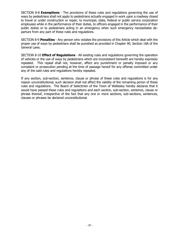SECTION 8-8 **Exemptions** - The provisions of these rules and regulations governing the use of ways by pedestrians shall not apply to pedestrians actually engaged in work upon a roadway closed to travel or under construction or repair, to municipal, state, federal or public service corporation employees while in the performance of their duties, to officers engaged in the performance of their public duties or to pedestrians acting in an emergency when such emergency necessitates departure from any part of these rules and regulations.

SECTION 8-9 **Penalties** - Any person who violates the provisions of this Article which deal with the proper use of ways by pedestrians shall be punished as provided in Chapter 90, Section 18A of the General Laws.

SECTION 8-10 **Effect of Regulations** - All existing rules and regulations governing the operation of vehicles or the use of ways by pedestrians which are inconsistent herewith are hereby expressly repealed. This repeal shall not, however, affect any punishment or penalty imposed or any complaint or prosecution pending at the time of passage hereof for any offense committed under any of the said rules and regulations hereby repealed.

If any section, sub-section, sentence, clause or phrase of these rules and regulations is for any reason unconstitutional, such decision shall not affect the validity of the remaining porion of these rules and regulations. The Board of Selectmen of the Town of Wellesley hereby declares that it would have passed these rules and regulations and each section, sub-section, sentence, clause or phrase thereof, irrespective of the fact that any one or more sections, sub-sections, sentences, clauses or phrases be declared unconstitutional.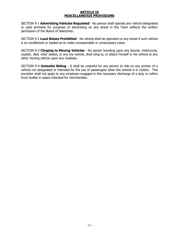#### **ARTICLE IX MISCELLANEOUS PROVISIONS**

<span id="page-20-0"></span>SECTION 9-1 **Advertising Vehicles Regulated** - No person shall operate any vehicle designated or used primarily for purposes of advertising on any street in the Town without the written permission of the Board of Selectmen.

SECTION 9-2 **Loud Noises Prohibited** - No vehicle shall be operated on any street if such vehicle is so conditioned or loaded as to make unreasonable or unnecessary noise.

SECTION 9-3 **Clinging to Moving Vehicles** - No person traveling upon any bicycle, motorcycle, coaster, sled, roller skates, or any toy vehicle, shall cling to, or attach himself or his vehicle to any other moving vehicle upon any roadway.

SECTION 9-4 **Unlawful Riding** - It shall be unlawful for any person to ride on any portion of a vehicle not designated or intended for the use of passengers when the vehicle is in motion. This provision shall not apply to any employee engaged in the necessary discharge of a duty or within truck bodies in space intended for merchandise.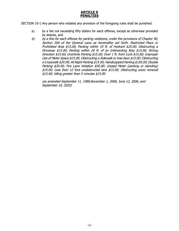#### **ARTICLE X PENALTIES**

<span id="page-21-0"></span>SECTION 10-1 Any person who violates any provision of the foregoing rules shall be punished:

- a) by a fee not exceeding fifty dollars for each offense, except as otherwise provided by statute, and
- b) by a fine for each offense for parking violations, under the provisions of Chapter 90, Section 20A of the General Laws as hereinafter set forth: Restricted Place or Prohibited Area \$15.00; Parking within 10 ft. of Hydrant \$25.00; Obstructing a Driveway \$15.00; Parking within 20 ft. of an Intersecting Way \$15.00; Wrong Direction \$15.00; Overtime Parking \$15.00; Over 1 ft. from Curb \$15.00; Improper Use of Meter Space \$15.00; Obstructing a Sidewalk or tree lawn \$15.00; Obstructing a Crosswalk \$20.00; All Night Parking \$15.00; Handicapped Parking \$150.00; Double Parking \$20.00; Fire Lane Violation \$50.00; Unpaid Meter (parking or standing) \$15.00; Less than 12 foot unobstructed lane \$15.00; Obstructing snow removal \$15.00; Idling greater than 5 minutes \$15.00.

(as amended September 11, 1989,November 1, 2000, June 12, 2006, and September 10, 2020)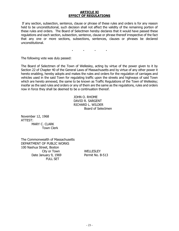#### **ARTICLE XI EFFECT OF REGULATIONS**

<span id="page-22-0"></span>If any section, subsection, sentence, clause or phrase of these rules and orders is for any reason held to be unconstitutional, such decision shall not affect the validity of the remaining portion of these rules and orders. The Board of Selectmen hereby declares that it would have passed these regulations and each section, subsection, sentence, clause or phrase thereof irrespective of the fact that any one or more sections, subsections, sentences, clauses or phrases be declared unconstitutional.

The following vote was duly passed:

The Board of Selectmen of the Town of Wellesley, acting by virtue of the power given to it by Section 22 of Chapter 40 of the General Laws of Massachusetts and by virtue of any other power it hereto enabling, hereby adopts and makes the rules and orders for the regulation of carriages and vehicles used in the said Town for regulating traffic upon the streets and highways of said Town which are hereto annexed, the same to be known as Traffic Regulations of the Town of Wellesley; insofar as the said rules and orders or any of them are the same as the regulations, rules and orders now in force they shall be deemed to be a continuation thereof.

> JOHN O. RHOME DAVID R. SARGENT RICHARD L. WILDER Board of Selectmen

November 12, 1968 ATTEST: MARY C. CLARK Town Clerk

The Commonwealth of Massachusetts DEPARTMENT OF PUBLIC WORKS 100 Nashua Street, Boston City or Town WELLESLEY Date January 9, 1969 Permit No. B-513 FULL SET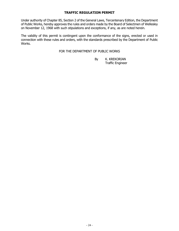#### **TRAFFIC REGULATION PERMIT**

Under authority of Chapter 85, Section 2 of the General Laws, Tercentenary Edition, the Department of Public Works, hereby approves the rules and orders made by the Board of Selectmen of Wellesley on November 12, 1968 with such stipulations and exceptions, if any, as are noted herein.

The validity of this permit is contingent upon the conformance of the signs, erected or used in connection with these rules and orders, with the standards prescribed by the Department of Public Works.

FOR THE DEPARTMENT OF PUBLIC WORKS

By K. KREKORIAN Traffic Engineer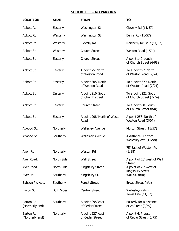<span id="page-24-0"></span>

| <b>LOCATION</b>               | <b>SIDE</b>       | <b>FROM</b>                            | <b>TO</b>                                        |
|-------------------------------|-------------------|----------------------------------------|--------------------------------------------------|
| Abbott Rd.                    | Easterly          | Washington St                          | Clovelly Rd (11/57)                              |
| Abbott Rd.                    | Westerly          | Washington St                          | Bemis Rd (11/57)                                 |
| Abbott Rd.                    | Westerly          | Clovelly Rd                            | Northerly for 345' (11/57)                       |
| Abbott St.                    | Westerly          | <b>Church Street</b>                   | Weston Road (1/74)                               |
| Abbott St.                    | Easterly          | <b>Church Street</b>                   | A point 140' south<br>of Church Street (6/98)    |
| Abbott St.                    | Easterly          | A point 75' North<br>of Weston Road    | To a point 97' North<br>of Weston Road (7/74)    |
| Abbott St.                    | Easterly          | A point 305' North<br>of Weston Road   | To a point 379' North<br>of Weston Road (7/74)   |
| Abbott St.                    | Easterly          | A point 210' South<br>of Church street | To a point 222' South<br>of Church Street (7/74) |
| Abbott St.                    | Easterly          | <b>Church Street</b>                   | To a point 88' South<br>of Church Street (n/a)   |
| Abbott St.                    | Easterly          | A point 208' North of Weston<br>Road   | A point 258' North of<br>Weston Road (3/07)      |
| Atwood St.                    | Northerly         | <b>Wellesley Avenue</b>                | Morton Street (11/57)                            |
| Atwood St.                    | Southerly         | <b>Wellesley Avenue</b>                | A distance 60' from<br>Wellesley Ave (11/98)     |
| Avon Rd                       | Northerly         | <b>Weston Rd</b>                       | 75' East of Weston Rd<br>(9/18)                  |
| Ayer Road.                    | North Side        | <b>Wall Street</b>                     | A point of 20' west of Wall<br><b>Street</b>     |
| Ayer Road                     | North Side        | Kingsbury Street                       | A point of 20' west of<br>Kingsbury Street       |
| Ayer Rd.                      | Southerly         | Kingsbury St.                          | Wall St. $(n/a)$                                 |
| Babson Pk. Ave.               | Southerly         | <b>Forest Street</b>                   | Broad Street (n/a)                               |
| Bacon St.                     | <b>Both Sides</b> | <b>Central Street</b>                  | <b>Wellesley-Natick</b><br>Town Line (11/57)     |
| Barton Rd.<br>(Northerly end) | Southerly         | A point 895' east<br>of Cedar Street   | Easterly for a distance<br>of 262 feet (9/69)    |
| Barton Rd.<br>(Northerly end) | Northerly         | A point 227' east<br>of Cedar Street   | A point 417' east<br>of Cedar Street (6/75)      |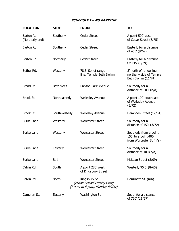| <b>LOCATION</b>               | <b>SIDE</b>       | <b>FROM</b>                                                                        | <b>TO</b>                                                                 |
|-------------------------------|-------------------|------------------------------------------------------------------------------------|---------------------------------------------------------------------------|
| Barton Rd.<br>(Northerly end) | Southerly         | <b>Cedar Street</b>                                                                | A point 500' east<br>of Cedar Street (6/75)                               |
| Barton Rd.                    | Southerly         | <b>Cedar Street</b>                                                                | Easterly for a distance<br>of 463' (9/69)                                 |
| Barton Rd.                    | Northerly         | <b>Cedar Street</b>                                                                | Easterly for a distance<br>Of 445' (9/69)                                 |
| Bethel Rd.                    | Westerly          | 78.5' So. of range<br>line, Temple Beth Elohim                                     | 8' north of range line<br>northerly side of Temple<br>Beth Elohim (11/74) |
| Broad St.                     | <b>Both sides</b> | <b>Babson Park Avenue</b>                                                          | Southerly for a<br>distance of 500' (n/a)                                 |
| Brook St.                     | Northeasterly     | <b>Wellesley Avenue</b>                                                            | A point 100' southeast<br>of Wellesley Avenue<br>(5/72)                   |
| Brook St.                     | Southwesterly     | <b>Wellesley Avenue</b>                                                            | Hampden Street (12/61)                                                    |
| <b>Burke Lane</b>             | Westerly          | <b>Worcester Street</b>                                                            | Southerly for a<br>distance of 150' (3/72)                                |
| <b>Burke Lane</b>             | Westerly          | <b>Worcester Street</b>                                                            | Southerly from a point<br>150' to a point 400'<br>from Worcester St (n/a) |
| <b>Burke Lane</b>             | Easterly          | <b>Worcester Street</b>                                                            | Southerly for a<br>distance of $400'(n/a)$                                |
| <b>Burke Lane</b>             | <b>Both</b>       | <b>Worcester Street</b>                                                            | McLean Street (8/09)                                                      |
| Calvin Rd.                    | South             | A point 280' west<br>of Kingsbury Street                                           | Westerly 95.5' (8/65)                                                     |
| Calvin Rd.                    | North             | Kingsbury St.<br>(Middle School Faculty Only)<br>(7 a.m. to 6 p.m., Monday-Friday) | Donzinetti St. (n/a)                                                      |
| Cameron St.                   | Easterly          | Washington St.                                                                     | South for a distance<br>of 750' (11/57)                                   |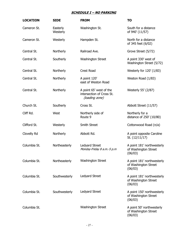| <b>LOCATION</b> | <b>SIDE</b>          | <b>FROM</b>                                                            | <b>TO</b>                                                     |
|-----------------|----------------------|------------------------------------------------------------------------|---------------------------------------------------------------|
| Cameron St.     | Easterly<br>Westerly | Washington St.                                                         | South for a distance<br>of 940' (11/57)                       |
| Cameron St.     | Westerly             | Hampden St.                                                            | North for a distance<br>of 345 feet (6/02)                    |
| Central St.     | Northerly            | Railroad Ave.                                                          | Grove Street (5/72)                                           |
| Central St.     | Southerly            | <b>Washington Street</b>                                               | A point 330' west of<br>Washington Street (5/72)              |
| Central St.     | Northerly            | <b>Crest Road</b>                                                      | Westerly for 120' (1/83)                                      |
| Central St.     | Northerly            | A point 120'<br>east of Weston Road                                    | Weston Road (1/83)                                            |
| Central St.     | Northerly            | A point 65' west of the<br>intersection of Cross St.<br>(loading zone) | Westerly 55' (2/87)                                           |
| Church St.      | Southerly            | Cross St.                                                              | Abbott Street (11/57)                                         |
| Cliff Rd.       | West                 | Northerly side of<br>Route 9                                           | Northerly for a<br>distance of 250' (10/80)                   |
| Clifford St.    | Westerly             | <b>Smith Street</b>                                                    | Cottonwood Road (n/a)                                         |
| Clovelly Rd     | Northerly            | Abbott Rd.                                                             | A point opposite Caroline<br>St. (12/11/17)                   |
| Columbia St.    | Northeasterly        | <b>Ledyard Street</b><br>Monday-Friday 8 a.m.-5 p.m                    | A point 181' northwesterly<br>of Washington Street<br>(06/03) |
| Columbia St.    | Northeasterly        | <b>Washington Street</b>                                               | A point 181' northwesterly<br>of Washington Street<br>(06/03) |
| Columbia St.    | Southwesterly        | Ledyard Street                                                         | A point 181' northwesterly<br>of Washington Street<br>(06/03) |
| Columbia St.    | Southwesterly        | Ledyard Street                                                         | A point 150' northwesterly<br>of Washington Street<br>(06/03) |
| Columbia St.    |                      | <b>Washington Street</b>                                               | A point 50' northwesterly<br>of Washington Street<br>(06/03)  |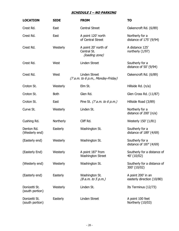| <b>LOCATION</b>                  | <b>SIDE</b> | <b>FROM</b>                                               | <b>TO</b>                                        |
|----------------------------------|-------------|-----------------------------------------------------------|--------------------------------------------------|
| Crest Rd.                        | East        | <b>Central Street</b>                                     | Oakencroft Rd. (6/89)                            |
| Crest Rd.                        | East        | A point 120' north<br>of Central Street                   | Northerly for a<br>distance of 175' (9/94)       |
| Crest Rd.                        | Westerly    | A point 20' north of<br>Central St.<br>(loading zone)     | A distance 125'<br>northerly (1/97)              |
| Crest Rd.                        | West        | <b>Linden Street</b>                                      | Southerly for a<br>distance of 50' (9/94)        |
| Crest Rd.                        | West        | <b>Linden Street</b><br>(7 a.m. to 6 p.m., Monday-Friday) | Oakencroft Rd. (6/89)                            |
| Croton St.                       | Westerly    | Elm St.                                                   | Hillside Rd. (n/a)                               |
| Croton St.                       | <b>Both</b> | Glen Rd.                                                  | Glen Cross Rd. (11/87)                           |
| Croton St.                       | East        | Pine St. $(7 a.m. to 6 p.m.)$                             | Hillside Road (3/89)                             |
| Curve St.                        | Westerly    | Linden St.                                                | Northerly for a<br>distance of $200'$ (n/a)      |
| Cushing Rd.                      | Northerly   | Cliff Rd.                                                 | Westerly 150' (1/81)                             |
| Denton Rd.<br>(Westerly end)     | Easterly    | Washington St.                                            | Southerly for a<br>distance of 189' (4/69)       |
| (Easterly end)                   | Westerly    | Washington St.                                            | Southerly for a<br>distance of 187' (4/69)       |
| (Easterly End)                   | Westerly    | A point 187' from<br><b>Washington Street</b>             | Southerly for a distance of<br>40' (10/02)       |
| (Westerly end)                   | Westerly    | Washington St.                                            | Southerly for a distance of<br>300' (10/02)      |
| (Easterly end)                   | Easterly    | Washington St.<br>(8 a.m. to 5 p.m.)                      | A point 200' in an<br>easterly direction (10/80) |
| Donizetti St.<br>(south portion) | Westerly    | Linden St.                                                | Its Terminus (12/73)                             |
| Donizetti St.<br>(south portion) | Easterly    | <b>Linden Street</b>                                      | A point 100 feet<br>Northerly (10/03)            |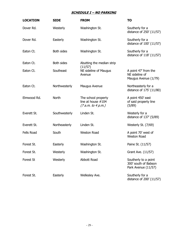| <b>LOCATION</b>   | <b>SIDE</b>   | <b>FROM</b>                                                     | <b>TO</b>                                                           |
|-------------------|---------------|-----------------------------------------------------------------|---------------------------------------------------------------------|
| Dover Rd.         | Westerly      | Washington St.                                                  | Southerly for a<br>distance of 250' (11/57)                         |
| Dover Rd.         | Easterly      | Washington St.                                                  | Southerly for a<br>distance of 100' (11/57)                         |
| Eaton Ct.         | Both sides    | Washington St.                                                  | Southerly for a<br>distance of 118' (11/57)                         |
| Eaton Ct.         | Both sides    | Abutting the median strip<br>(11/57)                            |                                                                     |
| Eaton Ct.         | Southeast     | NE sideline of Maugus<br>Avenue                                 | A point 47' from the<br>NE sideline of<br>Maugus Avenue (1/79)      |
| Eaton Ct.         | Northwesterly | Maugus Avenue                                                   | Northeasterly for a<br>distance of 175' (11/80)                     |
| Elmwood Rd.       | <b>North</b>  | The school property<br>line at house #104<br>(7 a.m. to 4 p.m.) | A point 450' east<br>of said property line<br>(5/89)                |
| Everett St.       | Southwesterly | Linden St.                                                      | Westerly for a<br>distance of 137' (5/89)                           |
| Everett St.       | Northeasterly | Linden St.                                                      | Westerly St. (7/69)                                                 |
| <b>Fells Road</b> | South         | <b>Weston Road</b>                                              | A point 70' west of<br><b>Weston Road</b>                           |
| Forest St.        | Easterly      | Washington St.                                                  | Paine St. (11/57)                                                   |
| Forest St.        | Westerly      | Washington St.                                                  | Grant Ave. (11/57)                                                  |
| Forest St         | Westerly      | <b>Abbott Road</b>                                              | Southerly to a point<br>300' south of Babson<br>Park Avenue (11/57) |
| Forest St.        | Easterly      | Wellesley Ave.                                                  | Southerly for a<br>distance of 200' (11/57)                         |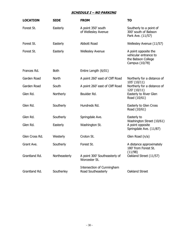| <b>LOCATION</b> | <b>SIDE</b>   | <b>FROM</b>                                      | <b>TO</b>                                                                             |
|-----------------|---------------|--------------------------------------------------|---------------------------------------------------------------------------------------|
| Forest St.      | Easterly      | A point 350' south<br>of Wellesley Avenue        | Southerly to a point of<br>300' south of Babson<br>Park Ave. (11/57)                  |
| Forest St.      | Easterly      | Abbott Road                                      | Wellesley Avenue (11/57)                                                              |
| Forest St.      | Easterly      | <b>Wellesley Avenue</b>                          | A point opposite the<br>vehicular entrance to<br>the Babson College<br>Campus (10/78) |
| Frances Rd.     | <b>Both</b>   | Entire Length (6/01)                             |                                                                                       |
| Garden Road     | <b>North</b>  | A point 260' east of Cliff Road                  | Northerly for a distance of                                                           |
| Garden Road     | South         | A point 260' east of Cliff Road                  | 105' (10/11)<br>Northerly for a distance of                                           |
| Glen Rd.        | Northerly     | Boulder Rd.                                      | 120'(10/11)<br>Easterly to River Glen<br>Road (10/61)                                 |
| Glen Rd.        | Southerly     | Hundreds Rd.                                     | Easterly to Glen Cross<br>Road (10/61)                                                |
| Glen Rd.        | Southerly     | Springdale Ave.                                  | Easterly to                                                                           |
| Glen Rd.        | Easterly      | Washington St.                                   | Washington Street (10/61)<br>A point opposite<br>Springdale Ave. (11/87)              |
| Glen Cross Rd.  | Westerly      | Croton St.                                       | Glen Road (n/a)                                                                       |
| Grant Ave.      | Southerly     | Forest St.                                       | A distance approximately<br>180' from Forest St.<br>(11/98)                           |
| Grantland Rd.   | Northeasterly | A point 300' Southeasterly of<br>Worcester St.   | Oakland Street (11/57)                                                                |
| Grantland Rd.   | Southerley    | Intersection of Cunningham<br>Road Southeasterly | Oakland Street                                                                        |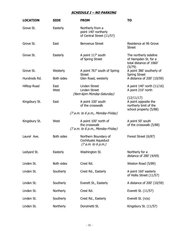| <b>LOCATION</b>     | <b>SIDE</b>       | <b>FROM</b>                                                                 | <b>TO</b>                                                                              |
|---------------------|-------------------|-----------------------------------------------------------------------------|----------------------------------------------------------------------------------------|
| Grove St.           | Easterly          | Northerly from a<br>point 140' northerly<br>of Central Street (11/57)       |                                                                                        |
| Grove St.           | East              | <b>Benvenue Street</b>                                                      | Residence at 96 Grove<br><b>Street</b>                                                 |
| Grove St.           | Easterly          | A point 117' south<br>of Spring Street                                      | The northerly sideline<br>of Hampden St. for a<br>total distance of 1060'<br>(5/79)    |
| Grove St.           | Westerly          | A point 767' south of Spring<br><b>Street</b>                               | A point 386' southerly of<br><b>Spring Street</b>                                      |
| Hundreds Rd.        | <b>Both sides</b> | Glen Road, westerly                                                         | A distance of 200' (10/59)                                                             |
| <b>Hilltop Road</b> | East<br>West      | <b>Linden Street</b><br><b>Linden Street</b><br>(9am-6pm Monday-Saturday)   | A point 140' north (11/16)<br>A point 210' north                                       |
| Kingsbury St.       | East              | A point 100' south<br>of the crosswalk                                      | (12/11/17)<br>A point opposite the<br>northerly limit of the<br>school property (5/88) |
|                     |                   | (7 a.m. to 6 p.m., Monday-Friday)                                           |                                                                                        |
| Kingsbury St.       | West              | A point 100' north of<br>the crosswalk<br>(7 a.m. to 6 p.m., Monday-Friday) | A point 50' south<br>of the crosswalk (5/88)                                           |
| Laurel Ave.         | <b>Both sides</b> | Northern Boundary of<br><b>Cochituate Aqueduct</b><br>(7 a.m. to 6 p.m.)    | Forest Street (6/87)                                                                   |
| Ledyard St.         | Easterly          | Washington St.                                                              | Northerly for a<br>distance of 280' (4/69)                                             |
| Linden St.          | Both sides        | Crest Rd.                                                                   | Weston Road (5/89)                                                                     |
| Linden St.          | Southerly         | Crest Rd., Easterly                                                         | A point 160' easterly<br>of Hollis Street (11/57)                                      |
| Linden St.          | Southerly         | Everett St., Easterly                                                       | A distance of 200' (10/59)                                                             |
| Linden St.          | Northerly         | Crest Rd.                                                                   | Everett St. (11/57)                                                                    |
| Linden St.          | Southerly         | Crest Rd., Easterly                                                         | Everett St. (n/a)                                                                      |
| Linden St.          | Northerly         | Donzinetti St.                                                              | Kingsbury St. (11/57)                                                                  |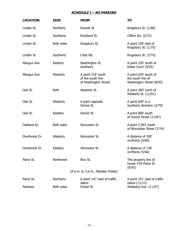| <b>LOCATION</b> | <b>SIDE</b>       | <b>FROM</b>                                                     | <b>TO</b>                                                              |
|-----------------|-------------------|-----------------------------------------------------------------|------------------------------------------------------------------------|
| Linden St.      | Northerly         | Everett St.                                                     | Kingsbury St. (1/86)                                                   |
| Linden St.      | Southerly         | Rockland St.                                                    | Clifton Rd. (5/72)                                                     |
| Linden St.      | Both sides        | Kingsbury St.                                                   | A point 100' east of<br>Kingsbury St. (1/75)                           |
| Linden St.      | Southerly         | Crest Rd.                                                       | Kingsbury St. (7/74)                                                   |
| Maugus Ave.     | Easterly          | Washington St.<br>southerly                                     | A point 250' south of<br>Eaton Court (9/93)                            |
| Maugus Ave.     | Westerly          | A point 218' south<br>of the south line<br>of Washington Street | A point 620' south of<br>the south line of<br>Washington Street (8/93) |
| Oak St.         | <b>Both</b>       | Westerly St.                                                    | A point 200' north of<br>Westerly St. (11/91)                          |
| Oak St.         | Westerly          | A point opposite<br>School St.                                  | A point 640' in a<br>southerly direction (3/79)                        |
| Oak St.         | Easterly          | School St.                                                      | A point 800' south<br>of School Street (11/87)                         |
| Oakland St.     | <b>Both sides</b> | Worcester St.                                                   | A point 2,953' south<br>of Worcester Street (7/74)                     |
| Overbrook Dr.   | Westerly          | Worcester St.                                                   | A distance of 200'<br>northerly (5/66)                                 |
| Overbrook Dr.   | Easterly          | Worcester St.                                                   | A distance of 138'<br>northerly (5/66)                                 |
| Paine St.       | Northwest         | Rice St.                                                        | The property line of<br>house #29 Paine St.<br>(6/92)                  |
|                 |                   | (8 a.m. to 3 p.m., Monday-Friday)                               |                                                                        |
| Paine St.       | Northerly         | A point 147' east of traffic<br>island                          | A point 191' east of traffic<br>island $(11/13)$                       |
| Parkway         | Both sides        | Forest St.                                                      | Wellesley Ave. (11/57)                                                 |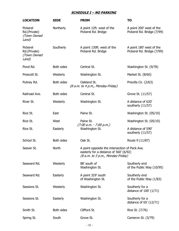| <b>LOCATION</b>                                  | <b>SIDE</b>       | <b>FROM</b>                                                                                                                   | <b>TO</b>                                              |
|--------------------------------------------------|-------------------|-------------------------------------------------------------------------------------------------------------------------------|--------------------------------------------------------|
| Pickerel<br>Rd.(Private)<br>(Town Owned<br>Land) | Northerly         | A point 12ft. west of the<br>Pickerel Rd. Bridge                                                                              | A point 200' west of the<br>Pickerel Rd. Bridge (7/99) |
| Pickerel<br>Rd.(Private)<br>(Town Owned<br>Land) | Southerly         | A point 130ft. west of the<br>Pickerel Rd. Bridge                                                                             | A point 180' west of the<br>Pickerel Rd. Bridge (7/99) |
| Pond Rd.                                         | Both sides        | Central St.                                                                                                                   | Washington St. (9/78)                                  |
| Prescott St.                                     | Westerly          | Washington St.                                                                                                                | Market St. (8/60)                                      |
| Putney Rd.                                       | <b>Both sides</b> | Oakland St.<br>(8 a.m. to 4 p.m., Monday-Friday)                                                                              | Priscilla Cir. (2/63)                                  |
| Railroad Ave.                                    | Both sides        | Central St.                                                                                                                   | Grove St. (11/57)                                      |
| River St.                                        | Westerly          | Washington St.                                                                                                                | A distance of 620'<br>southerly (11/57)                |
| Rice St.                                         | East              | Paine St.                                                                                                                     | Washington St. (05/10)                                 |
| Rice St.                                         | West              | Paine St.<br>(7:00 a.m. - 7:00 p.m.)                                                                                          | Washington St. (05/10)                                 |
| Rice St.                                         | Easterly          | Washington St.                                                                                                                | A distance of 590'<br>southerly (11/57)                |
| School St.                                       | <b>Both sides</b> | Oak St.                                                                                                                       | Route 9 (11/87)                                        |
| Seaver St.                                       | <b>North</b>      | A point opposite the intersection of Peck Ave.<br>easterly for a distance of 560' (6/92)<br>(8 a.m. to 3 p.m., Monday-Friday) |                                                        |
| Seaward Rd.                                      | Westerly          | 88' south of<br>Washington St.                                                                                                | Southerly end<br>of the Public Way (10/95)             |
| Seaward Rd.                                      | Easterly          | A point 329' south<br>of Washington St.                                                                                       | Southerly end<br>of the Public Way (1/83)              |
| Sessions St.                                     | Westerly          | Washington St.                                                                                                                | Southerly for a<br>distance of 100' (1/71)             |
| Sessions St.                                     | Easterly          | Washington St.                                                                                                                | Southerly for a<br>distance of $65'$ (12/71)           |
| Smith St.                                        | Both sides        | Clifford St.                                                                                                                  | Rice St. (7/76)                                        |
| Spring St.                                       | South             | Grove St.                                                                                                                     | Cameron St. (3/79)                                     |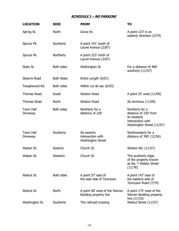| <b>LOCATION</b>                     | <b>SIDE</b>       | <b>FROM</b>                                                   | <b>TO</b>                                                                                                  |
|-------------------------------------|-------------------|---------------------------------------------------------------|------------------------------------------------------------------------------------------------------------|
| Spring St.                          | <b>North</b>      | Grove St.                                                     | A point 123' in an<br>easterly direction (3/79)                                                            |
| Spruce Pk.                          | Southerly         | A point 191' south of<br>Laurel Avenue (2/87)                 |                                                                                                            |
| Spruce Pk.                          | Northerly         | A point 223' north of<br>Laurel Avenue (2/87)                 |                                                                                                            |
| State St.                           | Both sides        | Washington St.                                                | For a distance of 480'<br>southerly (11/57)                                                                |
| <b>Stearns Road</b>                 | <b>Both Sides</b> | Entire Length (6/01)                                          |                                                                                                            |
| Tanglewood Rd.                      | Both sides        | Within cul de sac (6/93)                                      |                                                                                                            |
| <b>Thomas Road</b>                  | South             | <b>Weston Road</b>                                            | A point 25' west (11/09)                                                                                   |
| <b>Thomas Road</b>                  | <b>North</b>      | <b>Weston Road</b>                                            | Its terminus $(11/09)$                                                                                     |
| <b>Town Hall</b><br>Driveway        | <b>Both sides</b> | Northerly for a<br>distance of 220'                           | Northerly for a<br>distance of 220' from<br>its westerly<br>intersection with<br>Washington Street (11/57) |
| <b>Town Hall</b><br><b>Driveway</b> | Southerly         | Its easterly<br>intersection with<br><b>Washington Street</b> | Northwesterly for a<br>distance of 390' (12/56)                                                            |
| Waban St.                           | Easterly          | Church St.                                                    | Weston Rd. (11/57)                                                                                         |
| Waban St.                           | Westerly          | Church St.                                                    | The southerly edge<br>of the property known<br>as No. 7 Waban Street<br>(11/78)                            |
| Walnut St.                          | <b>Both sides</b> | A point 57' east of<br>the east side of Tennyson              | A point 147' east of<br>the easterly side of<br>Tennyson Road (7/74)                                       |
| Walnut St.                          | <b>North</b>      | A point 90' west of the Warren<br>Building property line      | A point 175' west of the<br>Warren Building property                                                       |
| Washington St.                      | Southerly         | The railroad crossing                                         | line $(11/10)$<br>Walnut Street (11/57)                                                                    |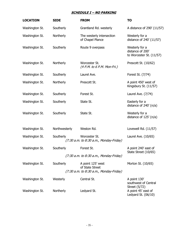| <b>LOCATION</b> | <b>SIDE</b>   | <b>FROM</b>                                                                     | <b>TO</b>                                                        |
|-----------------|---------------|---------------------------------------------------------------------------------|------------------------------------------------------------------|
| Washington St.  | Southerly     | Grantland Rd. westerly                                                          | A distance of 290' (11/57)                                       |
| Washington St.  | Northerly     | The westerly intersection<br>of Chapel Plance                                   | Westerly for a<br>distance of 240' (11/57)                       |
| Washington St.  | Southerly     | Route 9 overpass                                                                | Westerly for a<br>distance of 200'<br>to Worcester St. $(11/57)$ |
| Washington St.  | Northerly     | Worcester St.<br>(4 P.M. to 6 P.M. Mon-Fri.)                                    | Prescott St. (10/62)                                             |
| Washington St.  | Southerly     | Laurel Ave.                                                                     | Forest St. (7/74)                                                |
| Washington St.  | Northerly     | Prescott St.                                                                    | A point 450' west of<br>Kingsbury St. (11/57)                    |
| Washington St.  | Southerly     | Forest St.                                                                      | Laurel Ave. (7/74)                                               |
| Washington St.  | Southerly     | State St.                                                                       | Easterly for a<br>distance of $240'$ (n/a)                       |
| Washington St.  | Southerly     | State St.                                                                       | Westerly for a<br>distance of $125'$ (n/a)                       |
| Washington St.  | Northwesterly | Weston Rd.                                                                      | Lovewell Rd. (11/57)                                             |
| Washington St.  | Southerly     | Worcester St.<br>(7:30 a.m. to 8:30 a.m., Monday-Friday)                        | Laurel Ave. (10/65)                                              |
| Washington St.  | Southerly     | Forest St.                                                                      | A point 240' east of<br>State Street (10/65)                     |
|                 |               | (7:30 a.m. to 8:30 a.m., Monday-Friday)                                         |                                                                  |
| Washington St.  | Southerly     | A point 125' west<br>of State Street<br>(7:30 a.m. to 8:30 a.m., Monday-Friday) | Morton St. (10/65)                                               |
| Washington St.  | Westerly      | Central St.                                                                     | A point 130'<br>southwest of Central<br>Street (5/72)            |
| Washington St.  | Northerly     | Ledyard St.                                                                     | A point 45' east of<br>Ledyard St. (06/10)                       |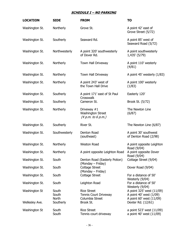| <b>LOCATION</b> | <b>SIDE</b>                    | <b>FROM</b>                                                     | <b>TO</b>                                                                        |
|-----------------|--------------------------------|-----------------------------------------------------------------|----------------------------------------------------------------------------------|
| Washington St.  | Northerly                      | Grove St.                                                       | A point 42' east of<br>Grove Street (5/72)                                       |
| Washington St.  | Southerly                      | Seaward Rd.                                                     | A point 85' west of<br>Seaward Road (5/72)                                       |
| Washington St.  | Northwesterly                  | A point 320' southwesterly<br>of Dover Rd.                      | A point southwesterly<br>1,435' (5/79)                                           |
| Washington St.  | Northerly                      | Town Hall Driveway                                              | A point 110' westerly<br>(4/81)                                                  |
| Washington St.  | Northerly                      | Town Hall Driveway                                              | A point 45' westerly (1/83)                                                      |
| Washington St.  | Northerly                      | A point 243' west of<br>the Town Hall Drive                     | A point 100' westerly<br>(1/83)                                                  |
| Washington St.  | Southerly                      | A point 171' east of St Paul<br>Crosswalk                       | Easterly 120'                                                                    |
| Washington St.  | Southerly                      | Cameron St.                                                     | Brook St. (5/72)                                                                 |
| Washington St.  | Northerly                      | Driveway $#1$<br><b>Washington Street</b><br>(4 p.m. to 6 p.m.) | The Newton Line<br>(6/87)                                                        |
| Washington St.  | Southerly                      | River St.                                                       | The Newton Line (6/87)                                                           |
| Washington St.  | Southwesterly                  | Denton Road<br>(southeast)                                      | A point 30' southwest<br>of Denton Road (2/98)                                   |
| Washington St.  | Northerly                      | <b>Weston Road</b>                                              | A point opposite Leighton<br>Road (9/04)                                         |
| Washington St.  | Northerly                      | A point opposite Leighton Road                                  | A point opposite Dover<br>Road (9/04)                                            |
| Washington St.  | South                          | Denton Road (Easterly Potion)<br>(Monday – Friday)              | Cottage Street (9/04)                                                            |
| Washington St.  | South                          | Cottage Street<br>(Monday – Friday)                             | Dover Road (9/04)                                                                |
| Washington St.  | South                          | <b>Cottage Street</b>                                           | For a distance of 50'<br>Westerly (9/04)                                         |
| Washington St.  | South                          | Leighton Road                                                   | For a distance of 50'<br>Westerly (9/04)                                         |
| Washington St   | South<br>South<br><b>North</b> | <b>Rice Street</b><br>Tennis Court Driveway<br>Columbia Street  | A point 325' west (11/09)<br>A point 40' west (1/09)<br>A point 60' west (11/09) |
| Wellesley Ave.  | Southerly                      | Brook St.                                                       | Dexter Rd. (12/61)                                                               |
| Washington St   | South<br>South                 | <b>Rice Street</b><br>Tennis court driveway                     | a point 523' west (11/09)<br>a point 40' west (11/09)                            |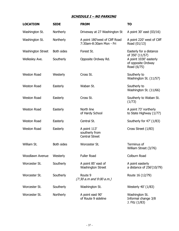| <b>LOCATION</b>          | <b>SIDE</b>       | <b>FROM</b>                                               | TO                                                                             |
|--------------------------|-------------------|-----------------------------------------------------------|--------------------------------------------------------------------------------|
| Washington St.           | Northerly         | Driveway at 27 Washington St                              | A point 30' east (03/16)                                                       |
| Washington St.           | Northerly         | A point 180'west of Cliff Road<br>7:30am-8:30am Mon - Fri | A point 220' west of Cliff<br>Road (01/13)                                     |
| <b>Washington Street</b> | <b>Both sides</b> | Forest St.                                                | Easterly for a distance                                                        |
| Wellesley Ave.           | Southerly         | Opposite Ordway Rd.                                       | of 350' (11/57)<br>A point 1030' easterly<br>of opposite Ordway<br>Road (6/75) |
| <b>Weston Road</b>       | Westerly          | Cross St.                                                 | Southerly to<br>Washington St. (11/57)                                         |
| <b>Weston Road</b>       | Easterly          | Waban St.                                                 | Southerly to<br>Washington St. (11/66)                                         |
| <b>Weston Road</b>       | Easterly          | Cross St.                                                 | Southerly to Waban St.<br>(1/73)                                               |
| <b>Weston Road</b>       | Easterly          | North line<br>of Hardy School                             | A point 73' northerly<br>to State Highway (1/77)                               |
| <b>Weston Road</b>       | Easterly          | Central St.                                               | Southerly for 47' (1/83)                                                       |
| <b>Weston Road</b>       | Easterly          | A point 113'<br>southerly from<br><b>Central Street</b>   | Cross Street (1/83)                                                            |
| William St.              | <b>Both sides</b> | Worcester St.                                             | Terminus of<br>William Street (3/76)                                           |
| Woodlawn Avenue          | Westerly          | <b>Fuller Road</b>                                        | Colburn Road                                                                   |
| Worcester St.            | Southerly         | A point 85' east of<br><b>Washington Street</b>           | A point easterly<br>a distance of 256'(10/79)                                  |
| Worcester St.            | Southerly         | Route 9<br>(7:30 a.m and 9:00 a.m.)                       | Route 16 (12/79)                                                               |
| Worcester St.            | Southerly         | Washington St.                                            | Westerly 40' (1/83)                                                            |
| Worcester St.            | Northerly         | A point east 90'<br>of Route 9 sideline                   | Washington St.<br>Informal change 3/8<br>J. Fitz (1/83)                        |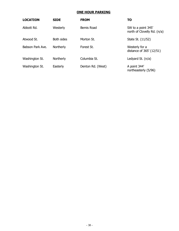# **ONE HOUR PARKING**

<span id="page-37-0"></span>

| <b>LOCATION</b>  | <b>SIDE</b>       | <b>FROM</b>       | <b>TO</b>                                         |
|------------------|-------------------|-------------------|---------------------------------------------------|
| Abbott Rd.       | Westerly          | Bemis Road        | SW to a point 345'<br>north of Clovelly Rd. (n/a) |
| Atwood St.       | <b>Both sides</b> | Morton St.        | State St. (11/52)                                 |
| Babson Park Ave. | Northerly         | Forest St.        | Westerly for a<br>distance of 365' (12/51)        |
| Washington St.   | Northerly         | Columbia St.      | Ledyard St. (n/a)                                 |
| Washington St.   | Easterly          | Denton Rd. (West) | A point 344'<br>northeasterly (5/96)              |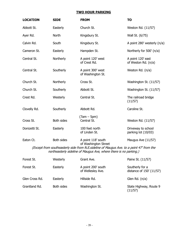<span id="page-38-0"></span>

| <b>LOCATION</b>                                                   | <b>SIDE</b>       | <b>FROM</b>                                                                                                                             | <b>TO</b>                                 |
|-------------------------------------------------------------------|-------------------|-----------------------------------------------------------------------------------------------------------------------------------------|-------------------------------------------|
| Abbott St.                                                        | Easterly          | Church St.                                                                                                                              | Weston Rd. (11/57)                        |
| Ayer Rd.                                                          | North             | Kingsbury St.                                                                                                                           | Wall St. (6/75)                           |
| Calvin Rd.                                                        | South             | Kingsbury St.                                                                                                                           | A point 280' westerly (n/a)               |
| Cameron St.                                                       | Easterly          | Hampden St.                                                                                                                             | Northerly for 500' (n/a)                  |
| Central St.                                                       | Northerly         | A point 120' west<br>of Crest Rd.                                                                                                       | A point 120' east<br>of Weston Rd. (n/a)  |
| Central St.                                                       | Southerly         | A point 300' west<br>of Washington St.                                                                                                  | Weston Rd. (n/a)                          |
| Church St.                                                        | Northerly         | Cross St.                                                                                                                               | Washington St. (11/57)                    |
| Church St.                                                        | Southerly         | Abbott St.                                                                                                                              | Washington St. (11/57)                    |
| Crest Rd.                                                         | Westerly          | Central St.                                                                                                                             | The railroad bridge<br>(11/57)            |
| Clovelly Rd.                                                      | Southerly         | Abbott Rd.                                                                                                                              | Caroline St.                              |
| Cross St.                                                         | <b>Both sides</b> | $(7am - 5pm)$<br>Central St.                                                                                                            | Weston Rd. (11/57)                        |
| Donizetti St.                                                     | Easterly          | 100 feet north<br>of Linden St.                                                                                                         | Driveway to school<br>parking lot (10/03) |
| Eaton Ct.                                                         | <b>Both sides</b> | A point 118' south<br>of Washington Street<br>(Except from southeasterly side from N.E. sideline of Maugus Ave. to a point 47' from the | Maugus Ave (11/57)                        |
| northeasterly sideline of Maugus Ave, where there is no parking.) |                   |                                                                                                                                         |                                           |

| Forest St.     | Westerly          | Grant Ave.                              | Paine St. (11/57)                           |
|----------------|-------------------|-----------------------------------------|---------------------------------------------|
| Forest St.     | Easterly          | A point 200' south<br>of Wellesley Ave. | Southerly for a<br>distance of 150' (11/57) |
| Glen Cross Rd. | Easterly          | Hillside Rd.                            | Glen Rd. $(n/a)$                            |
| Grantland Rd.  | <b>Both sides</b> | Washington St.                          | State Highway, Route 9<br>(11/57)           |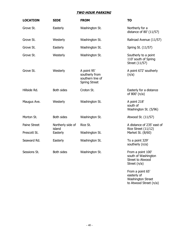| <b>LOCATION</b> | <b>SIDE</b>                 | <b>FROM</b>                                                               | <b>TO</b>                                                                    |
|-----------------|-----------------------------|---------------------------------------------------------------------------|------------------------------------------------------------------------------|
| Grove St.       | Easterly                    | Washington St.                                                            | Northerly for a<br>distance of 80' (11/57)                                   |
| Grove St.       | Westerly                    | Washington St.                                                            | Railroad Avenue (11/57)                                                      |
| Grove St.       | Easterly                    | Washington St.                                                            | Spring St. (11/57)                                                           |
| Grove St.       | Westerly                    | Washington St.                                                            | Southerly to a point<br>110' south of Spring<br>Street (11/57)               |
| Grove St.       | Westerly                    | A point 95'<br>southerly from<br>southern line of<br><b>Spring Street</b> | A point 672' southerly<br>(n/a)                                              |
| Hillside Rd.    | <b>Both sides</b>           | Croton St.                                                                | Easterly for a distance<br>of $800'$ (n/a)                                   |
| Maugus Ave.     | Westerly                    | Washington St.                                                            | A point 218'<br>south of<br>Washington St. (5/96)                            |
| Morton St.      | <b>Both sides</b>           | Washington St.                                                            | Atwood St. (11/57)                                                           |
| Paine Street    | Northerly side of<br>island | Rice St.                                                                  | A distance of 235' east of<br>Rice Street (11/12)                            |
| Prescott St.    | Easterly                    | Washington St.                                                            | Market St. (8/60)                                                            |
| Seaward Rd.     | Easterly                    | Washington St.                                                            | To a point 329'<br>southerly (n/a)                                           |
| Sessions St.    | <b>Both sides</b>           | Washington St.                                                            | From a point 100'<br>south of Washington<br>Street to Atwood<br>Street (n/a) |

From a point 65' easterly of Washington Street to Atwood Street (n/a)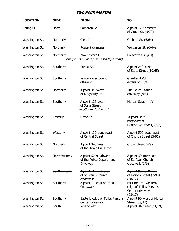| <b>LOCATION</b> | <b>SIDE</b>   | <b>FROM</b>                                                          | TO                                                                             |
|-----------------|---------------|----------------------------------------------------------------------|--------------------------------------------------------------------------------|
| Spring St.      | <b>North</b>  | Cameron St.                                                          | A point 123' easterly<br>of Grove St. (3/79)                                   |
| Washington St.  | Northerly     | Glen Rd.                                                             | Orchard St. (6/64)                                                             |
| Washington St.  | Northerly     | Route 9 overpass                                                     | Worcester St. (6/64)                                                           |
| Washington St.  | Northerly     | Worcester St.<br>(except 2 p.m. to 4 p.m., Monday-Friday)            | Prescott St. (6/64)                                                            |
| Washington St.  | Southerly     | Forest St.                                                           | A point 240' east<br>of State Street (10/65)                                   |
| Washington St.  | Southerly     | Route 9 westbound<br>off-ramp                                        | Grantland Rd.<br>extension $(n/a)$                                             |
| Washington St.  | Northerly     | A point 450'west<br>of Kingsbury St.                                 | The Police Station<br>driveway $(n/a)$                                         |
| Washington St.  | Southerly     | A point 125' west<br>of State Street<br>(8:30 a.m. to 6 p.m.)        | Morton Street (n/a)                                                            |
| Washington St.  | Easterly      | Grove St.                                                            | A point 344'<br>northeast of<br>Denton Rd. (West) (n/a)                        |
| Washington St.  | Westerly      | A point 130' southwest<br>of Central Street                          | A point 500' southwest<br>of Church Street (5/96)                              |
| Washington St.  | Northerly     | A point 343' west<br>of the Town Hall Drive                          | Grove Street (n/a)                                                             |
| Washington St.  | Northwesterly | A point 50' southwest<br>of the Police Department<br><b>Driveway</b> | A point 30' northeast<br>of St. Paul' Church<br>crosswalk (2/98)               |
| Washington St.  | Southeasterly | A point 16' northeast<br>of St. Paul's Church<br>crosswalk           | A point 90' southeast<br>of Morton Street (2/98)<br>(08/17)                    |
| Washington St.  | Southerly     | A point 11' east of St Paul<br>Crosswalk                             | East for 160' westerly<br>edge of Tolles Parsons<br>Center driveway<br>(08/17) |
| Washington St.  | Southerly     | Easterly edge of Tolles Parsons<br>Center driveway                   | A point 90' west of Morton<br>Street (08/17)                                   |
| Washington St.  | South         | <b>Rice Street</b>                                                   | A point 345' east (11/09)                                                      |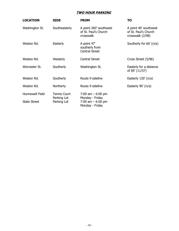| <b>LOCATION</b>                               | <b>SIDE</b>                                       | <b>FROM</b>                                                                    | TO                                                                |
|-----------------------------------------------|---------------------------------------------------|--------------------------------------------------------------------------------|-------------------------------------------------------------------|
| Washington St.                                | Southeasterly                                     | A point 260' southwest<br>of St. Paul's Church<br>crosswalk                    | A point 40' southwest<br>of St. Paul's Church<br>crosswalk (2/98) |
| Weston Rd.                                    | Easterly                                          | A point 47'<br>southerly from<br><b>Central Street</b>                         | Southerly for 66' (n/a)                                           |
| Weston Rd.                                    | Westerly                                          | <b>Central Street</b>                                                          | Cross Street (5/96)                                               |
| Worcester St.                                 | Southerly                                         | Washington St.                                                                 | Easterly for a distance<br>of 85' (11/57)                         |
| Weston Rd.                                    | Southerly                                         | Route 9 sideline                                                               | Easterly $130'$ (n/a)                                             |
| Weston Rd.                                    | Northerly                                         | Route 9 sideline                                                               | Easterly $90'$ (n/a)                                              |
| <b>Hunnewell Field</b><br><b>State Street</b> | <b>Tennis Court</b><br>Parking Lot<br>Parking Lot | 7:00 am $-6:00$ pm<br>Monday - Friday<br>7:00 am $-6:00$ pm<br>Monday - Friday |                                                                   |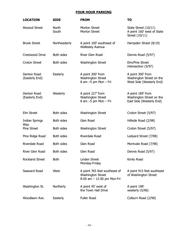# <span id="page-42-0"></span>**FOUR HOUR PARKING**

| <b>LOCATION</b>               | <b>SIDE</b>           | <b>FROM</b>                                                                                | <b>TO</b>                                                                 |
|-------------------------------|-----------------------|--------------------------------------------------------------------------------------------|---------------------------------------------------------------------------|
| <b>Atwood Street</b>          | <b>North</b><br>South | <b>Morton Street</b><br>Morton Street                                                      | State Street (10/11)<br>A point 160' west of State<br>Street (10/11)      |
| <b>Brook Street</b>           | Northeasterly         | A point 100' southeast of<br><b>Wellesley Avenue</b>                                       | Hampden Street (8/19)                                                     |
| Crestwood Drive               | Both sides            | River Glen Road                                                                            | Dennis Road (5/97)                                                        |
| <b>Croton Street</b>          | <b>Both sides</b>     | <b>Washington Street</b>                                                                   | Elm/Pine Street<br>intersection (5/97)                                    |
| Denton Road<br>(Easterly End) | Easterly              | A point 200' from<br><b>Washington Street</b><br>8 am -5 pm Mon - Fri                      | A point 300' from<br>Washington Street on the<br>West Side (Westerly End) |
| Denton Road<br>(Easterly End) | Westerly              | A point 227' from<br><b>Washington Street</b><br>8 am -5 pm Mon - Fri                      | A point 189' from<br>Washington Street on the<br>East Side (Westerly End) |
| <b>Elm Street</b>             | <b>Both sides</b>     | <b>Washington Street</b>                                                                   | Croton Street (5/97)                                                      |
| <b>Indian Springs</b>         | <b>Both sides</b>     | Glen Road                                                                                  | Hillside Road (2/98)                                                      |
| Way<br><b>Pine Street</b>     | Both sides            | <b>Washington Street</b>                                                                   | Croton Street (5/97)                                                      |
| Pine Ridge Road               | Both sides            | Riverdale Road                                                                             | Ledyard Street (7/98)                                                     |
| Riverdale Road                | <b>Both sides</b>     | Glen Road                                                                                  | Montvale Road (7/98)                                                      |
| River Glen Road               | Both sides            | Glen Road                                                                                  | Dennis Road (5/97)                                                        |
| <b>Rockland Street</b>        | <b>Both</b>           | <b>Linden Street</b><br>Monday-Friday                                                      | Kimlo Road                                                                |
| Seaward Road                  | West                  | A point 765 feet southeast of<br><b>Washington Street</b><br>$8:00$ am $-12:00$ pm Mon-Fri | A point 915 feet southeast<br>of Washington Street                        |
| Washington St.                | Northerly             | A point 45' west of<br>the Town Hall Drive                                                 | A point 198'<br>westerly $(5/96)$                                         |
| Woodlawn Ave.                 | Easterly              | <b>Fuller Road</b>                                                                         | Colburn Road (2/98)                                                       |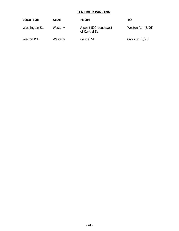## **TEN HOUR PARKING**

<span id="page-43-0"></span>

| <b>LOCATION</b> | <b>SIDE</b> | <b>FROM</b>                              | TO                |
|-----------------|-------------|------------------------------------------|-------------------|
| Washington St.  | Westerly    | A point 500' southwest<br>of Central St. | Weston Rd. (5/96) |
| Weston Rd.      | Westerly    | Central St.                              | Cross St. (5/96)  |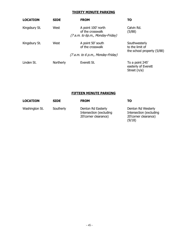### **THIRTY MINUTE PARKING**

<span id="page-44-0"></span>

| <b>LOCATION</b> | <b>SIDE</b> | <b>FROM</b>                                                                | <b>TO</b>                                                      |
|-----------------|-------------|----------------------------------------------------------------------------|----------------------------------------------------------------|
| Kingsbury St.   | West        | A point 100' north<br>of the crosswalk<br>(7 a.m. to 6p.m., Monday-Friday) | Calvin Rd.<br>(5/88)                                           |
| Kingsbury St.   | West        | A point 50' south<br>of the crosswalk                                      | Southwesterly<br>to the limit of<br>the school property (5/88) |
|                 |             | (7 a.m. to 6 p.m., Monday-Friday)                                          |                                                                |
| Linden St.      | Northerly   | Everett St.                                                                | To a point 245'<br>easterly of Everett<br>Street $(n/a)$       |

# **FIFTEEN MINUTE PARKING**

| <b>LOCATION</b> | <b>SIDE</b> | <b>FROM</b>                                                           | ΤO                                                                              |
|-----------------|-------------|-----------------------------------------------------------------------|---------------------------------------------------------------------------------|
| Washington St.  | Southerly   | Denton Rd Easterly<br>Intersection (excluding<br>20'corner clearance) | Denton Rd Westerly<br>Intersection (excluding<br>20'corner clearance)<br>(9/18) |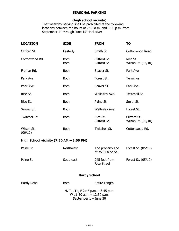# **SEASONAL PARKING**

# **(high school vicinity)**

That weekday parking shall be prohibited at the following locations between the hours of 7:30 a.m. and 1:00 p.m. from September 1<sup>st</sup> through June 15<sup>th</sup> inclusive:

| <b>LOCATION</b>       | <b>SIDE</b>                | <b>FROM</b>                  | <b>TO</b>                          |
|-----------------------|----------------------------|------------------------------|------------------------------------|
| Clifford St.          | Easterly                   | Smith St.                    | Cottonwood Road                    |
| Cottonwood Rd.        | <b>Both</b><br><b>Both</b> | Clifford St.<br>Clifford St. | Rice St.<br>Wilson St. (06/10)     |
| Framar Rd.            | <b>Both</b>                | Seaver St.                   | Park Ave.                          |
| Park Ave.             | <b>Both</b>                | Forest St.                   | <b>Terminus</b>                    |
| Peck Ave.             | <b>Both</b>                | Seaver St.                   | Park Ave.                          |
| Rice St.              | <b>Both</b>                | Wellesley Ave.               | Twitchell St.                      |
| Rice St.              | <b>Both</b>                | Paine St.                    | Smith St.                          |
| Seaver St.            | <b>Both</b>                | Wellesley Ave.               | Forest St.                         |
| Twitchell St.         | <b>Both</b>                | Rice St.<br>Clifford St.     | Clifford St.<br>Wilson St. (06/10) |
| Wilson St.<br>(06/10) | <b>Both</b>                | Twitchell St.                | Cottonwood Rd.                     |

# **High School vicinity (7:30 AM – 3:00 PM)**

| Paine St. | Northwest | The property line<br>of $#29$ Paine St. | Forest St. (05/10) |
|-----------|-----------|-----------------------------------------|--------------------|
| Paine St. | Southeast | 245 feet from<br><b>Rice Street</b>     | Forest St. (05/10) |

#### **Hardy School**

| Hardy Road | <b>Both</b> | Entire Length                                                       |
|------------|-------------|---------------------------------------------------------------------|
|            |             | M, Tu, Th, F 2:45 p.m. $-$ 3:45 p.m.<br>W 11:30 a.m. $-$ 12:30 p.m. |
|            |             | September $1 -$ June 30                                             |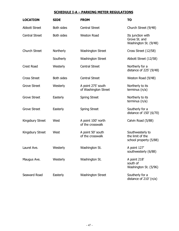# **SCHEDULE I-A – PARKING METER REGULATIONS**

<span id="page-46-0"></span>

| <b>LOCATION</b>       | <b>SIDE</b>       | <b>FROM</b>                                | <b>TO</b>                                                      |
|-----------------------|-------------------|--------------------------------------------|----------------------------------------------------------------|
| <b>Abbott Street</b>  | <b>Both sides</b> | <b>Central Street</b>                      | Church Street (9/48)                                           |
| <b>Central Street</b> | <b>Both sides</b> | <b>Weston Road</b>                         | Its junction with<br>Grove St. and<br>Washington St. (9/48)    |
| Church Street         | Northerly         | <b>Washington Street</b>                   | Cross Street (12/58)                                           |
|                       | Southerly         | <b>Washington Street</b>                   | Abbott Street (12/58)                                          |
| <b>Crest Road</b>     | Westerly          | <b>Central Street</b>                      | Northerly for a<br>distance of 225' (9/48)                     |
| <b>Cross Street</b>   | <b>Both sides</b> | <b>Central Street</b>                      | Weston Road (9/48)                                             |
| <b>Grove Street</b>   | Westerly          | A point 275' south<br>of Washington Street | Northerly to its<br>terminus $(n/a)$                           |
| <b>Grove Street</b>   | Easterly          | <b>Spring Street</b>                       | Northerly to its<br>terminus $(n/a)$                           |
| <b>Grove Street</b>   | Easterly          | <b>Spring Street</b>                       | Southerly for a<br>distance of 150' (6/70)                     |
| Kingsbury Street      | West              | A point 100' north<br>of the crosswalk     | Calvin Road (5/88)                                             |
| Kingsbury Street      | West              | A point 50' south<br>of the crosswalk      | Southwesterly to<br>the limit of the<br>school property (5/88) |
| Laurel Ave.           | Westerly          | Washington St.                             | A point 127'<br>southwesterly (6/88)                           |
| Maugus Ave.           | Westerly          | Washington St.                             | A point 218'<br>south of<br>Washington St. (5/96)              |
| Seaward Road          | Easterly          | <b>Washington Street</b>                   | Southerly for a<br>distance of 210' (n/a)                      |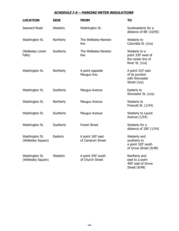#### **SCHEDULE I-A – PARKING METER REGULATIONS**

| <b>LOCATION</b>                      | <b>SIDE</b> | <b>FROM</b>                            | <b>TO</b>                                                                      |
|--------------------------------------|-------------|----------------------------------------|--------------------------------------------------------------------------------|
| Seaward Road                         | Westerly    | Washington St.                         | Southeasterly for a<br>distance of 88' (10/95)                                 |
| Washington St.                       | Northerly   | The Wellesley-Newton<br>line           | Westerly to<br>Columbia St. (n/a)                                              |
| (Wellesley Lower<br>Falls)           | Southerly   | The Wellesley-Newton<br>line           | Westerly to a<br>point 330' west of<br>the center line of<br>River St. $(n/a)$ |
| Washington St.                       | Northerly   | A point opposite<br>Maugus Ave.        | A point 310' east<br>of its junction<br>with Worcester<br>Street (n/a)         |
| Washington St.                       | Southerly   | Maugus Avenue                          | Easterly to<br>Worcester St. (n/a)                                             |
| Washington St.                       | Northerly   | Maugus Avenue                          | Westerly to<br>Prescott St. (1/54)                                             |
| Washington St.                       | Southerly   | Maugus Avenue                          | Westerly to Laurel<br>Avenue (1/54)                                            |
| Washington St.                       | Southerly   | <b>Forest Street</b>                   | Westerly for a<br>distance of 200' (1/54)                                      |
| Washington St.<br>(Wellesley Square) | Easterly    | A point 160' east<br>of Cameron Street | Westerly and<br>southerly to<br>a point 320' south<br>of Grove Street (9/48)   |
| Washington St.<br>(Wellesley Square) | Westerly    | A point 240' south<br>of Church Street | Northerly and<br>east to a point<br>490' east of Grove<br>Street (9/48)        |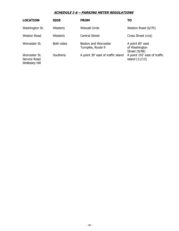#### **SCHEDULE I-A – PARKING METER REGULATIONS**

| <b>LOCATION</b>                                        | <b>SIDE</b>       | <b>FROM</b>                                      | ΤO                                                 |
|--------------------------------------------------------|-------------------|--------------------------------------------------|----------------------------------------------------|
| Washington St.                                         | Westerly          | Wiswall Circle                                   | Weston Road (6/70)                                 |
| <b>Weston Road</b>                                     | Westerly          | <b>Central Street</b>                            | Cross Street (n/a)                                 |
| Worcester St.                                          | <b>Both sides</b> | <b>Boston and Worcester</b><br>Turnpike, Route 9 | A point 85' east<br>of Washington<br>Street (9/48) |
| Worcester St.<br>Service Road<br><b>Wellesley Hill</b> | Southerly         | A point 39' east of traffic island               | A point 192' east of traffic<br>island $(11/13)$   |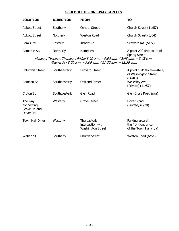#### **SCHEDULE II – ONE-WAY STREETS**

<span id="page-49-0"></span>

| <b>LOCATION</b>      | <b>DIRECTION</b> | <b>FROM</b>           | TΟ                                                |
|----------------------|------------------|-----------------------|---------------------------------------------------|
| <b>Abbott Street</b> | Southerly        | <b>Central Street</b> | Church Street (11/57)                             |
| <b>Abbott Street</b> | Northerly        | <b>Weston Road</b>    | Church Street (6/64)                              |
| Bemis Rd.            | Easterly         | Abbott Rd.            | Seaward Rd. (5/72)                                |
| Cameron St.          | Northerly        | Hampden               | A point 200 feet south of<br><b>Spring Street</b> |

#### Monday, Tuesday, Thursday, Friday 8:00 a.m. – 9:00 a.m. / 2:45 p.m. – 3:45 p.m. Wednesday 8:00 a.m. – 9:00 a.m. / 11:30 a.m. – 12:30 p.m.

| Columbia Street                                     | Southeasterly | <b>Ledyard Street</b>                                         | A point 181' Northwesterly<br>of Washington Street<br>(06/03)   |
|-----------------------------------------------------|---------------|---------------------------------------------------------------|-----------------------------------------------------------------|
| Comeau St.                                          | Southeasterly | Oakland Street                                                | Wellesley Ave.<br>(Private) (11/57)                             |
| Croton St.                                          | Southwesterly | Glen Road                                                     | Glen Cross Road (n/a)                                           |
| The way<br>connecting<br>Grove St. and<br>Dover Rd. | Westerly      | Grove Street                                                  | Dover Road<br>(Private) (6/70)                                  |
| <b>Town Hall Drive</b>                              | Westerly      | The easterly<br>intersection with<br><b>Washington Street</b> | Parking area at<br>the front entrance<br>of the Town Hall (n/a) |
| Waban St.                                           | Southerly     | <b>Church Street</b>                                          | Weston Road (6/64)                                              |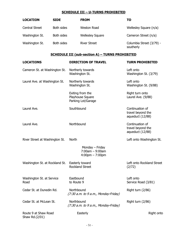# **SCHEDULE III – U-TURNS PROHIBITED**

<span id="page-50-0"></span>

| <b>LOCATION</b>       | <b>SIDE</b>       | <b>FROM</b>             | TO                                    |
|-----------------------|-------------------|-------------------------|---------------------------------------|
| <b>Central Street</b> | Both sides        | <b>Weston Road</b>      | Wellesley Square (n/a)                |
| Washington St.        | Both sides        | <b>Wellesley Square</b> | Cameron Street (n/a)                  |
| Washington St.        | <b>Both sides</b> | <b>River Street</b>     | Columbia Street (3/79) -<br>southerly |

### **SCHEDULE III (sub-section A) – TURNS PROHIBITED**

<span id="page-50-1"></span>

| <b>LOCATIONS</b>                        | <b>DIRECTION OF TRAVEL</b>                                                | <b>TURN PROHIBITED</b>                                   |
|-----------------------------------------|---------------------------------------------------------------------------|----------------------------------------------------------|
| Cameron St. at Washington St.           | Northerly towards<br>Washington St.                                       | Left onto<br>Washington St. (3/79)                       |
| Laurel Ave. at Washington St.           | Northerly towards<br>Washington St.                                       | Left onto<br>Washington St. (9/88)                       |
|                                         | Exiting from the<br>Playhouse Square<br>Parking Lot/Garage                | Right turn onto<br>Laurel Ave. (9/88)                    |
| Laurel Ave.                             | Southbound                                                                | Continuation of<br>travel beyond the<br>aqueduct (12/88) |
| Laurel Ave.                             | Northbound                                                                | Continuation of<br>travel beyond the<br>aqueduct (12/88) |
| River Street at Washington St.          | <b>North</b>                                                              | Left onto Washington St.                                 |
|                                         | Monday - Friday<br>$7:00am - 9:00am$<br>$4:00 \text{pm} - 7:00 \text{pm}$ |                                                          |
| Washington St. at Rockland St.          | Easterly toward<br><b>Rockland Street</b>                                 | Left onto Rockland Street<br>(2/72)                      |
| Washington St. at Service<br>Road       | Eastbound<br>to Route 9                                                   | Left onto<br>Service Road (3/81)                         |
| Cedar St. at Dunedin Rd.                | Northbound<br>(7:30 a.m. to 9 a.m., Monday-Friday)                        | Right turn (2/86)                                        |
| Cedar St. at McLean St.                 | Northbound<br>(7:30 a.m. to 9 a.m., Monday-Friday)                        | Right turn $(2/86)$                                      |
| Route 9 at Shaw Road<br>Shaw Rd. (2/01) | Easterly                                                                  | Right onto                                               |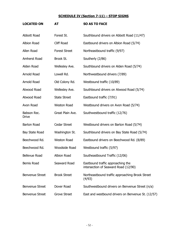<span id="page-51-0"></span>

| <b>LOCATED ON</b>           | AT                   | <b>SO AS TO FACE</b>                                                      |
|-----------------------------|----------------------|---------------------------------------------------------------------------|
| Abbott Road                 | Forest St.           | Southbound drivers on Abbott Road (11/47)                                 |
| Albion Road                 | Cliff Road           | Eastbound drivers on Albion Road (5/74)                                   |
| Allen Road                  | <b>Forest Street</b> | Northeastbound traffic (9/97)                                             |
| Amherst Road                | Brook St.            | Southerly (2/86)                                                          |
| Alden Road                  | Wellesley Ave.       | Southbound drivers on Alden Road (5/74)                                   |
| Arnold Road                 | Lowell Rd.           | Northwestbound drivers (7/89)                                             |
| Arnold Road                 | Old Colony Rd.       | Westbound traffic (10/89)                                                 |
| Atwood Road                 | Wellesley Ave.       | Southbound drivers on Atwood Road (5/74)                                  |
| Atwood Road                 | <b>State Street</b>  | Eastbound traffic (7/91)                                                  |
| Avon Road                   | <b>Weston Road</b>   | Westbound drivers on Avon Road (5/74)                                     |
| Babson Rec.<br><b>Drive</b> | Great Plain Ave.     | Southwestbound traffic (12/76)                                            |
| <b>Barton Road</b>          | <b>Cedar Street</b>  | Westbound drivers on Barton Road (5/74)                                   |
| Bay State Road              | Washington St.       | Southbound drivers on Bay State Road (5/74)                               |
| Beechwood Rd.               | <b>Weston Road</b>   | Eastbound drivers on Beechwood Rd. (8/89)                                 |
| Beechwood Rd.               | Woodside Road        | Westbound traffic (5/97)                                                  |
| <b>Bellevue Road</b>        | <b>Albion Road</b>   | Southeastbound Traffic (12/06)                                            |
| Bemis Road                  | Seaward Road         | Eastbound traffic approaching the<br>intersection of Seaward Road (12/90) |
| <b>Benvenue Street</b>      | <b>Brook Street</b>  | Northeastbound traffic approaching Brook Street<br>(4/93)                 |
| <b>Benvenue Street</b>      | Dover Road           | Southwestbound drivers on Benvenue Street (n/a)                           |
| <b>Benvenue Street</b>      | <b>Grove Street</b>  | East and westbound drivers on Benvenue St. (12/57)                        |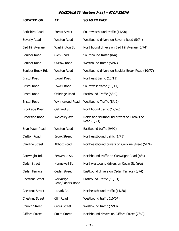| <b>LOCATED ON</b>       | <b>AT</b>                     | <b>SO AS TO FACE</b>                                     |  |
|-------------------------|-------------------------------|----------------------------------------------------------|--|
| Berkshire Road          | <b>Forest Street</b>          | Southwestbound traffic (11/98)                           |  |
| Beverly Road            | <b>Weston Road</b>            | Westbound drivers on Beverly Road (5/74)                 |  |
| <b>Bird Hill Avenue</b> | Washington St.                | Northbound drivers on Bird Hill Avenue (5/74)            |  |
| <b>Boulder Road</b>     | Glen Road                     | Southbound traffic (n/a)                                 |  |
| <b>Boulder Road</b>     | OxBow Road                    | Westbound traffic (5/97)                                 |  |
| Boulder Brook Rd.       | <b>Weston Road</b>            | Westbound drivers on Boulder Brook Road (10/77)          |  |
| <b>Bristol Road</b>     | Lowell Road                   | Northeast traffic (10/11)                                |  |
| <b>Bristol Road</b>     | Lowell Road                   | Southwest traffic (10/11)                                |  |
| <b>Bristol Road</b>     | Oakridge Road                 | Eastbound Traffic (8/19)                                 |  |
| <b>Bristol Road</b>     | Wynnewood Road                | Westbound Traffic (8/19)                                 |  |
| <b>Brookside Road</b>   | Oakland St.                   | Northbound traffic (12/76)                               |  |
| <b>Brookside Road</b>   | Wellesley Ave.                | North and southbound drivers on Brookside<br>Road (5/74) |  |
| Bryn Mawr Road          | <b>Weston Road</b>            | Eastbound traffic (9/97)                                 |  |
| Carlton Road            | <b>Brook Street</b>           | Northeastbound traffic (1/75)                            |  |
| <b>Caroline Street</b>  | Abbott Road                   | Northeastbound drivers on Caroline Street (5/74)         |  |
| Cartwright Rd.          | Benvenue St.                  | Northbound traffic on Cartwright Road (n/a)              |  |
| <b>Cedar Street</b>     | Hunnewell St.                 | Northwestbound drivers on Cedar St. (n/a)                |  |
| Cedar Terrace           | <b>Cedar Street</b>           | Eastbound drivers on Cedar Terrace (5/74)                |  |
| <b>Chestnut Street</b>  | Rockridge<br>Road/Lanark Road | Eastbound Traffic (10/04)                                |  |
| <b>Chestnut Street</b>  | Lanark Rd.                    | Northeastbound traffic (11/88)                           |  |
| <b>Chestnut Street</b>  | Cliff Road                    | Westbound traffic (10/04)                                |  |
| <b>Church Street</b>    | <b>Cross Street</b>           | Westbound traffic (2/98)                                 |  |
| <b>Clifford Street</b>  | Smith Street                  | Northbound drivers on Clifford Street (7/69)             |  |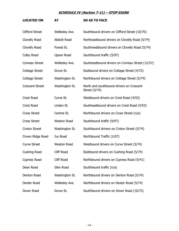| <b>LOCATED ON</b>      | AT                 | <b>SO AS TO FACE</b>                                      |  |
|------------------------|--------------------|-----------------------------------------------------------|--|
| <b>Clifford Street</b> | Wellesley Ave.     | Southbound drivers on Clifford Street (10/70)             |  |
| Clovelly Road          | <b>Abbott Road</b> | Northeastbound drivers on Clovelly Road (5/74)            |  |
| Clovelly Road          | Forest St.         | Southwestbound drivers on Clovelly Road (5/74)            |  |
| Colby Road             | Upson Road         | Southbound traffic (5/97)                                 |  |
| Comeau Street          | Wellesley Ave.     | Southeastbound drivers on Comeau Street (12/57)           |  |
| Cottage Street         | Grove St.          | Eastbound drivers on Cottage Street (4/72)                |  |
| Cottage Street         | Washington St.     | Northbound drivers on Cottage Street (5/74)               |  |
| <b>Crescent Street</b> | Washington St.     | North and southbound drivers on Crescent<br>Street (5/74) |  |
| <b>Crest Road</b>      | Curve St.          | Westbound drivers on Crest Road (4/53)                    |  |
| <b>Crest Road</b>      | Linden St.         | Southeastbound drivers on Crest Road (4/53)               |  |
| <b>Cross Street</b>    | Central St.        | Northbound drivers on Cross Street (n/a)                  |  |
| <b>Cross Street</b>    | <b>Weston Road</b> | Southbound traffic (9/97)                                 |  |
| <b>Croton Street</b>   | Washington St.     | Southbound drivers on Croton Street (5/74)                |  |
| Crown Ridge Road       | <b>Ivy Road</b>    | Northbound Traffic (1/07)                                 |  |
| <b>Curve Street</b>    | <b>Weston Road</b> | Westbound drivers on Curve Street (5/74)                  |  |
| <b>Cushing Road</b>    | Cliff Road         | Eastbound drivers on Cushing Road (5/74)                  |  |
| <b>Cypress Road</b>    | Cliff Road         | Northbound drivers on Cypress Road (5/41)                 |  |
| Dean Road              | Glen Road          | Southbound traffic (n/a)                                  |  |
| Denton Road            | Washington St.     | Northbound drivers on Denton Road (5/74)                  |  |
| Dexter Road            | Wellesley Ave.     | Northbound drivers on Dexter Road (5/74)                  |  |
| Dover Road             | Grove St.          | Southbound drivers on Dover Road (10/72)                  |  |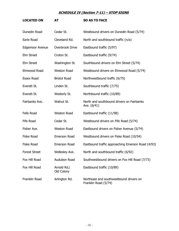# **LOCATED ON AT SO AS TO FACE**

| Dunedin Road           | Cedar St.                 | Westbound drivers on Dunedin Road (5/74)                        |
|------------------------|---------------------------|-----------------------------------------------------------------|
| Earle Road             | Cleveland Rd.             | North and southbound traffic (n/a)                              |
| <b>Edgemoor Avenue</b> | Overbrook Drive           | Eastbound traffic (5/97)                                        |
| Elm Street             | Croton St.                | Eastbound traffic (9/74)                                        |
| <b>Elm Street</b>      | Washington St.            | Southbound drivers on Elm Street (5/74)                         |
| Elmwood Road           | <b>Weston Road</b>        | Westbound drivers on Elmwood Road (5/74)                        |
| <b>Essex Road</b>      | <b>Bristol Road</b>       | Northwestbound traffic (6/75)                                   |
| Everett St.            | Linden St.                | Southbound traffic (7/75)                                       |
| Everett St.            | Westerly St.              | Northbound traffic (10/89)                                      |
| Fairbanks Ave.         | Walnut St.                | North and southbound drivers on Fairbanks<br>Ave. $(6/41)$      |
| <b>Fells Road</b>      | <b>Weston Road</b>        | Eastbound traffic (11/98)                                       |
| Fife Road              | Cedar St.                 | Westbound drivers on Fife Road (5/74)                           |
| Fisher Ave.            | <b>Weston Road</b>        | Eastbound drivers on Fisher Avenue (5/74)                       |
| <b>Fiske Road</b>      | Emerson Road              | Westbound drivers on Fiske Road (10/54)                         |
| Fiske Road             | Emerson Road              | Eastbound traffic approaching Emerson Road (4/93)               |
| <b>Forest Street</b>   | Wellesley Ave.            | North and southbound traffic (6/92)                             |
| Fox Hill Road          | Audubon Road              | Southwestbound drivers on Fox Hill Road (7/73)                  |
| Fox Hill Road          | Arnold Rd./<br>Old Colony | Eastbound traffic (10/89)                                       |
| Franklin Road          | Arlington Rd.             | Northeast and southwestbound drivers on<br>Franklin Road (5/74) |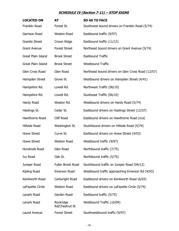| <b>LOCATED ON</b>     | AT                          | <b>SO AS TO FACE</b>                               |
|-----------------------|-----------------------------|----------------------------------------------------|
| Franklin Road         | Forest St.                  | Southwest bound drivers on Franklin Road (5/74)    |
| Garrison Road         | <b>Weston Road</b>          | Eastbound traffic (9/97)                           |
| <b>Granite Street</b> | Crown Ridge                 | Eastbound traffic (11/12)                          |
| <b>Grant Avenue</b>   | <b>Forest Street</b>        | Northeast bound drivers on Grant Avenue (5/74)     |
| Great Plain Island    | <b>Brook Street</b>         | <b>Eastbound Traffic</b>                           |
| Great Plain Island    | <b>Brook Street</b>         | <b>Westbound Traffic</b>                           |
| Glen Cross Road       | Glen Road                   | Northeast bound drivers on Glen Cross Road (12/57) |
| Hampden Street        | Grove St.                   | Westbound drivers on Hampden Street (4/41)         |
| Hampshire Rd.         | Lowell Rd.                  | Northwest Traffic (06/10)                          |
| Hampshire Rd.         | Lowell Rd.                  | Southeast Traffic (06/10)                          |
| Hardy Road            | Weston Rd.                  | Westbound drivers on Hardy Road (5/74)             |
| Hastings St.          | Cedar St.                   | Eastbound drivers on Hastings Street (12/57)       |
| Hawthorne Road        | Cliff Road                  | Eastbound drivers on Hawthorne Road (n/a)          |
| Hillside Road         | Washington St.              | Southbound drivers on Hillside Road (5/74)         |
| <b>Howe Street</b>    | Curve St.                   | Eastbound drivers on Howe Street (4/53)            |
| <b>Howe Street</b>    | <b>Weston Road</b>          | Westbound traffic (9/97)                           |
| Hundreds Road         | Glen Road                   | Northbound traffic (7/75)                          |
| <b>Ivy Road</b>       | Oak St.                     | Northbound traffic (5/75)                          |
| Juniper Road          | Fuller Brook Road           | Southbound traffic on Juniper Road (04/12)         |
| Kipling Road          | Emerson Road                | Westbound traffic approaching Emerson Rd (4/93)    |
| Kenilworth Road       | Cartwright Road             | Eastbound drivers on Kenilworth Road (6/03)        |
| LaFayette Circle      | <b>Weston Road</b>          | Eastbound drivers on LaFayette Circle (5/74)       |
| Lanark Road           | Garden Road                 | Eastbound traffic (5/75)                           |
| Lanark Road           | Rockridge<br>Rd/Chestnut St | Westbound Traffic (10/04)                          |
| Laurel Avenue         | <b>Forest Street</b>        | Southwestbound traffic (9/97)                      |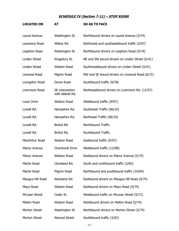| <b>LOCATED ON</b>    | AT                                 | <b>SO AS TO FACE</b>                            |
|----------------------|------------------------------------|-------------------------------------------------|
| Laurel Avenue        | Washington St.                     | Northbound drivers on Laurel Avenue (5/74)      |
| Lawrence Road        | Willow Rd.                         | Northwest and southeastbound traffic (5/97)     |
| Leighton Road        | Washington St.                     | Northbound drivers on Leighton Road (5/74)      |
| <b>Linden Street</b> | Kingsbury St.                      | NE and SW bound drivers on Linden Street (5/41) |
| <b>Linden Street</b> | <b>Weston Road</b>                 | Southwestbound drivers on Linden Street (5/41)  |
| Linwood Road         | Pilgrim Road                       | NW and SE bound drivers on Linwood Road (6/72)  |
| Livingston Road      | Dover Road                         | Southbound traffic (9/78)                       |
| Livermore Road       | SE intersection<br>with Abbott Rd. | Northeastbound drivers on Livermore Rd. (12/57) |
| Louis Drive          | <b>Weston Road</b>                 | Westbound traffic (9/97)                        |
| Lowell Rd.           | Hampshire Rd.                      | Southwest Traffic (06/10)                       |
| Lowell Rd.           | Hampshire Rd.                      | Northeast Traffic (06/10)                       |
| Lowell Rd.           | Bristol Rd.                        | Northbound Traffic                              |
| Lowell Rd.           | Bristol Rd.                        | Southbound Traffic                              |
| MacArthur Road       | <b>Weston Road</b>                 | Eastbound traffic (9/97)                        |
| Manor Avenue         | Overbrook Drive                    | Westbound traffic (12/98)                       |
| <b>Manor Avenue</b>  | <b>Weston Road</b>                 | Eastbound drivers on Manor Avenue (5/74)        |
| Martin Road          | Cleveland Rd.                      | South and northbound traffic (2/85)             |
| Martin Road          | Pilgrim Road                       | Northbound and southbound traffic (10/84)       |
| Maugus Hill Road     | Wareland Rd.                       | Eastbound drivers on Maugus Hill Road (9/74)    |
| Mayo Road            | <b>Weston Road</b>                 | Eastbound drivers on Mayo Road (5/74)           |
| <b>McLean Street</b> | Cedar St.                          | Westbound traffic on McLean Street (5/72)       |
| Mellon Road          | <b>Weston Road</b>                 | Westbound drivers on Mellon Road (5/74)         |
| Morton Street        | Washington St.                     | Northbound drivers on Morton Street (5/74)      |
| Morton Street        | <b>Atwood Street</b>               | Southbound traffic (3/02)                       |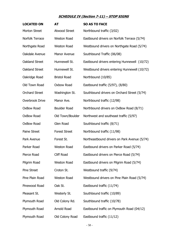| <b>LOCATED ON</b>     | <b>AT</b>            | <b>SO AS TO FACE</b>                         |  |
|-----------------------|----------------------|----------------------------------------------|--|
| <b>Morton Street</b>  | <b>Atwood Street</b> | Northbound traffic (3/02)                    |  |
| Norfolk Terrace       | <b>Weston Road</b>   | Eastbound drivers on Norfolk Terrace (5/74)  |  |
| Northgate Road        | <b>Weston Road</b>   | Westbound drivers on Northgate Road (5/74)   |  |
| Oakdale Avenue        | <b>Manor Avenue</b>  | Southbound Traffic (06/08)                   |  |
| Oakland Street        | Hunnewell St.        | Eastbound drivers entering Hunnewell (10/72) |  |
| <b>Oakland Street</b> | Hunnewell St.        | Westbound drivers entering Hunnewell (10/72) |  |
| Oakridge Road         | <b>Bristol Road</b>  | Northbound (10/85)                           |  |
| Old Town Road         | Oxbow Road           | Eastbound traffic (5/97), (8/80)             |  |
| <b>Orchard Street</b> | Washington St.       | Southbound drivers on Orchard Street (5/74)  |  |
| Overbrook Drive       | Manor Ave.           | Northbound traffic (12/98)                   |  |
| OxBow Road            | <b>Boulder Road</b>  | Northbound drivers on OxBow Road (8/71)      |  |
| OxBow Road            | Old Town/Boulder     | Northwest and southeast traffic (5/97)       |  |
| OxBow Road            | Glen Road            | Southbound traffic (8/71)                    |  |
| <b>Paine Street</b>   | <b>Forest Street</b> | Northbound traffic (11/98)                   |  |
| Park Avenue           | Forest St.           | Northeastbound drivers on Park Avenue (5/74) |  |
| Parker Road           | <b>Weston Road</b>   | Eastbound drivers on Parker Road (5/74)      |  |
| Pierce Road           | Cliff Road           | Eastbound drivers on Pierce Road (5/74)      |  |
| Pilgrim Road          | <b>Weston Road</b>   | Eastbound drivers on Pilgrim Road (5/74)     |  |
| <b>Pine Street</b>    | Croton St.           | Westbound traffic (9/74)                     |  |
| Pine Plain Road       | <b>Weston Road</b>   | Westbound drivers on Pine Plain Road (5/74)  |  |
| Pinewood Road         | Oak St.              | Eastbound traffic (11/74)                    |  |
| Pleasant St.          | Westerly St.         | Southbound traffic (10/89)                   |  |
| Plymouth Road         | Old Colony Rd.       | Southbound traffic (10/78)                   |  |
| Plymouth Road         | Arnold Road          | Eastbound traffic on Plymouth Road (04/12)   |  |
| Plymouth Road         | Old Colony Road      | Eastbound traffic (11/12)                    |  |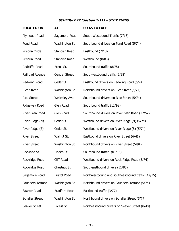| <b>LOCATED ON</b>      | AT                    | <b>SO AS TO FACE</b>                              |  |
|------------------------|-----------------------|---------------------------------------------------|--|
| Plymouth Road          | Sagamore Road         | South Westbound Traffic (7/18)                    |  |
| Pond Road              | Washington St.        | Southbound drivers on Pond Road (5/74)            |  |
| Priscilla Circle       | Standish Road         | Eastbound (7/18)                                  |  |
| Priscilla Road         | Standish Road         | Westbound (8/83)                                  |  |
| Radcliffe Road         | Brook St.             | Southbound traffic (8/78)                         |  |
| Railroad Avenue        | <b>Central Street</b> | Southwestbound traffic (2/98)                     |  |
| Redwing Road           | Cedar St.             | Eastbound drivers on Redwing Road (5/74)          |  |
| <b>Rice Street</b>     | Washington St.        | Northbound drivers on Rice Street (5/74)          |  |
| <b>Rice Street</b>     | Wellesley Ave.        | Southbound drivers on Rice Street (5/74)          |  |
| Ridgeway Road          | Glen Road             | Southbound traffic (11/98)                        |  |
| River Glen Road        | Glen Road             | Southbound drivers on River Glen Road (12/57)     |  |
| River Ridge (N)        | Cedar St.             | Westbound drivers on River Ridge (N) (5/74)       |  |
| River Ridge (S)        | Cedar St.             | Westbound drivers on River Ridge (S) (5/74)       |  |
| <b>River Street</b>    | Walnut St.            | Eastbound drivers on River Street (6/41)          |  |
| <b>River Street</b>    | Washington St.        | Northbound drivers on River Street (5/94)         |  |
| Rockland St.           | Linden St.            | Southbound traffic (01/13)                        |  |
| Rockridge Road         | Cliff Road            | Westbound drivers on Rock Ridge Road (5/74)       |  |
| Rockridge Road         | Chestnut St.          | Southeastbound drivers (11/88)                    |  |
| Sagamore Road          | <b>Bristol Road</b>   | Northwestbound and southeastbound traffic (12/75) |  |
| Saunders Terrace       | Washington St.        | Northbound drivers on Saunders Terrace (5/74)     |  |
| Sawyer Road            | <b>Bradford Road</b>  | Eastbound traffic (3/77)                          |  |
| <b>Schaller Street</b> | Washington St.        | Northbound drivers on Schaller Street (5/74)      |  |
| Seaver Street          | Forest St.            | Northeastbound drivers on Seaver Street (8/40)    |  |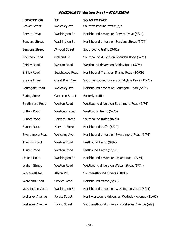| <b>LOCATED ON</b>       | <b>AT</b>             | <b>SO AS TO FACE</b>                               |
|-------------------------|-----------------------|----------------------------------------------------|
| <b>Seaver Street</b>    | Wellesley Ave.        | Southwestbound traffic (n/a)                       |
| Service Drive           | Washington St.        | Northbound drivers on Service Drive (5/74)         |
| <b>Sessions Street</b>  | Washington St.        | Northbound drivers on Sessions Street (5/74)       |
| <b>Sessions Street</b>  | <b>Atwood Street</b>  | Southbound traffic (3/02)                          |
| Sheridan Road           | Oakland St.           | Southbound drivers on Sheridan Road (5/71)         |
| Shirley Road            | <b>Weston Road</b>    | Westbound drivers on Shirley Road (5/74)           |
| Shirley Road            | Beechwood Road        | Northbound Traffic on Shirley Road (10/09)         |
| <b>Skyline Drive</b>    | Great Plain Ave.      | Southwestbound drivers on Skyline Drive (11/70)    |
| Southgate Road          | Wellesley Ave.        | Northbound drivers on Southgate Road (5/74)        |
| <b>Spring Street</b>    | <b>Cameron Street</b> | Easterly traffic                                   |
| Strathmore Road         | <b>Weston Road</b>    | Westbound drivers on Strathmore Road (5/74)        |
| Suffolk Road            | Westgate Road         | Westbound traffic (5/75)                           |
| Sunset Road             | <b>Harvard Street</b> | Southbound traffic (8/20)                          |
| <b>Sunset Road</b>      | <b>Harvard Street</b> | Northbound traffic (8/20)                          |
| Swarthmore Road         | Wellesley Ave.        | Northbound drivers on Swarthmore Road (5/74)       |
| <b>Thomas Road</b>      | <b>Weston Road</b>    | Eastbound traffic (9/97)                           |
| <b>Turner Road</b>      | <b>Weston Road</b>    | Eastbound traffic (11/98)                          |
| <b>Upland Road</b>      | Washington St.        | Northbound drivers on Upland Road (5/74)           |
| <b>Waban Street</b>     | <b>Weston Road</b>    | Westbound drivers on Waban Street (5/74)           |
| Wachusett Rd.           | Albion Rd.            | Southeastbound drivers (10/88)                     |
| Wareland Road           | Service Road          | Northbound traffic (8/88)                          |
| <b>Washington Court</b> | Washington St.        | Northbound drivers on Washington Court (5/74)      |
| <b>Wellesley Avenue</b> | <b>Forest Street</b>  | Northwestbound drivers on Wellesley Avenue (11/60) |
| <b>Wellesley Avenue</b> | <b>Forest Street</b>  | Southeastbound drivers on Wellesley Avenue (n/a)   |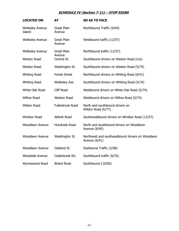| <b>LOCATED ON</b>                 | <b>AT</b>                    | <b>SO AS TO FACE</b>                                              |
|-----------------------------------|------------------------------|-------------------------------------------------------------------|
| <b>Wellesley Avenue</b><br>Island | <b>Great Plain</b><br>Avenue | Northbound Traffic (9/04)                                         |
| <b>Wellesley Avenue</b>           | <b>Great Plain</b><br>Avenue | Westbound traffic (12/57)                                         |
| <b>Wellesley Avenue</b>           | <b>Great Plain</b><br>Avenue | Northbound traffic (12/57)                                        |
| <b>Weston Road</b>                | Central St.                  | Southbound drivers on Weston Road (n/a)                           |
| Weston Road                       | Washington St.               | Southbound drivers on Weston Road (5/74)                          |
| <b>Whiting Road</b>               | <b>Forest Street</b>         | Northbound drivers on Whiting Road (6/41)                         |
| <b>Whiting Road</b>               | Wellesley Ave.               | Southbound drivers on Whiting Road (5/74)                         |
| <b>White Oak Road</b>             | <b>Cliff Road</b>            | Westbound drivers on White Oak Road (5/74)                        |
| <b>Willow Road</b>                | <b>Weston Road</b>           | Westbound drivers on Willow Road (5/74)                           |
| <b>Wildon Road</b>                | <b>Fullerbrook Road</b>      | North and southbound drivers on<br>Wildon Road (6/77)             |
| <b>Windsor Road</b>               | Abbott Road                  | Southwestbound drivers on Windsor Road (12/57)                    |
| <b>Woodlawn Avenue</b>            | <b>Hundreds Road</b>         | North and southbound drivers on Woodlawn<br>Avenue (8/40)         |
| <b>Woodlawn Avenue</b>            | Washington St.               | Northwest and southeastbound drivers on Woodlawn<br>Avenue (6/41) |
| <b>Woodlawn Avenue</b>            | Oakland St                   | Eastbound Traffic (2/08)                                          |
| <b>Woodside Avenue</b>            | Cedarbrook Rd.               | Southbound traffic (6/76)                                         |
| Wynnewood Road                    | <b>Bristol Road</b>          | Southbound (10/85)                                                |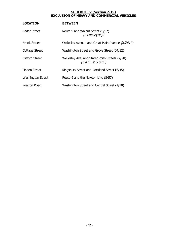#### **SCHEDULE V (Section 7-19) EXCLUSION OF HEAVY AND COMMERCIAL VEHICLES**

<span id="page-61-0"></span>

| <b>LOCATION</b>          | <b>BETWEEN</b>                                                      |
|--------------------------|---------------------------------------------------------------------|
| Cedar Street             | Route 9 and Walnut Street (9/97)<br>(24 hours/day)                  |
| <b>Brook Street</b>      | Wellesley Avenue and Great Plain Avenue (6/2017)                    |
| Cottage Street           | Washington Street and Grove Street (04/12)                          |
| Clifford Street          | Wellesley Ave. and State/Smith Streets (2/90)<br>(5 a.m. to 5 p.m.) |
| <b>Linden Street</b>     | Kingsbury Street and Rockland Street (6/45)                         |
| <b>Washington Street</b> | Route 9 and the Newton Line (8/57)                                  |
| <b>Weston Road</b>       | Washington Street and Central Street (1/78)                         |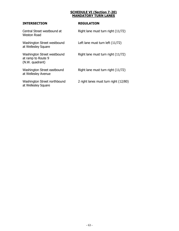#### **SCHEDULE VI (Section 7-20) MANDATORY TURN LANES**

# <span id="page-62-0"></span>**INTERSECTION REGULATION**

| Central Street westbound at<br><b>Weston Road</b>                    | Right lane must turn right (11/72)    |
|----------------------------------------------------------------------|---------------------------------------|
| Washington Street westbound<br>at Wellesley Square                   | Left lane must turn left $(11/72)$    |
| Washington Street westbound<br>at ramp to Route 9<br>(N.W. quadrant) | Right lane must turn right (11/72)    |
| Washington Street eastbound<br>at Wellesley Avenue                   | Right lane must turn right (11/72)    |
| Washington Street northbound<br>at Wellesley Square                  | 2 right lanes must turn right (12/80) |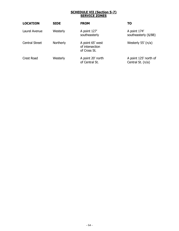#### **SCHEDULE VII (Section 5-7) SERVICE ZONES**

<span id="page-63-0"></span>

| <b>LOCATION</b>       | <b>SIDE</b> | <b>FROM</b>                                         | TO                                         |
|-----------------------|-------------|-----------------------------------------------------|--------------------------------------------|
| Laurel Avenue         | Westerly    | A point 127'<br>southeasterly                       | A point 174'<br>southeasterly (6/88)       |
| <b>Central Street</b> | Northerly   | A point 65' west<br>of intersection<br>of Cross St. | Westerly $55'$ (n/a)                       |
| Crest Road            | Westerly    | A point 20' north<br>of Central St.                 | A point 125' north of<br>Central St. (n/a) |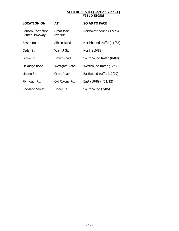#### **SCHEDULE VIII (Section 7-11-A) YIELD SIGNS**

<span id="page-64-0"></span>

| <b>LOCATION ON</b>                          | AT                                               | <b>SO AS TO FACE</b>      |
|---------------------------------------------|--------------------------------------------------|---------------------------|
| <b>Babson Recreation</b><br>Center Driveway | Northwest bound (12/76)<br>Great Plain<br>Avenue |                           |
| <b>Bristol Road</b>                         | Albion Road<br>Northbound traffic (11/88)        |                           |
| Cedar St.                                   | Walnut St.                                       | North (10/89)             |
| Grove St.                                   | Dover Road                                       | Southbound traffic (8/89) |
| Oakridge Road                               | Westgate Road                                    | Westbound traffic (12/88) |
| Linden St.                                  | Crest Road                                       | Eastbound traffic (12/79) |
| Plymouth Rd.                                | Old Colony Rd.                                   | East $(10/89)$ $(11/12)$  |
| <b>Rockland Street</b>                      | Linden St.                                       | Southbound (2/86)         |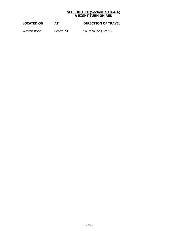#### **SCHEDULE IX (Section 7-10-4-A) A RIGHT TURN ON RED**

<span id="page-65-0"></span>

| <b>LOCATED ON</b> | <b>DIRECTION OF TRAVEL</b> |
|-------------------|----------------------------|
|                   |                            |

Weston Road Central St. Southbound (12/78)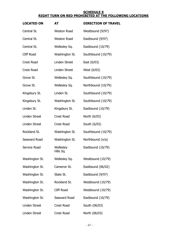#### **SCHEDULE X RIGHT TURN ON RED PROHIBITED AT THE FOLLOWING LOCATIONS**

<span id="page-66-0"></span>

| <b>LOCATED ON</b>    | <b>DIRECTION OF TRAVEL</b><br>AT     |                    |
|----------------------|--------------------------------------|--------------------|
| Central St.          | <b>Weston Road</b>                   | Westbound (9/97)   |
| Central St.          | <b>Weston Road</b>                   | Eastbound (9/97)   |
| Central St.          | Wellesley Sq.                        | Eastbound (10/79)  |
| Cliff Road           | Washington St.                       | Southbound (10/79) |
| <b>Crest Road</b>    | <b>Linden Street</b>                 | East (6/03)        |
| Crest Road           | <b>Linden Street</b>                 | West (6/03)        |
| Grove St.            | Wellesley Sq.                        | Southbound (10/79) |
| Grove St.            | Wellesley Sq.                        | Northbound (10/79) |
| Kingsbury St.        | Linden St.                           | Southbound (10/79) |
| Kingsbury St.        | Southbound (10/79)<br>Washington St. |                    |
| Linden St.           | Kingsbury St.                        | Eastbound (10/79)  |
| <b>Linden Street</b> | Crest Road                           | North (6/03)       |
| <b>Linden Street</b> | Crest Road                           | South (6/03)       |
| Rockland St.         | Washington St.                       | Southbound (10/79) |
| Seaward Road         | Washington St.                       | Northbound (n/a)   |
| Service Road         | Wellesley<br>Hills Sq.               | Eastbound (10/79)  |
| Washington St.       | Wellesley Sq.                        | Westbound (10/79)  |
| Washington St.       | Cameron St.                          | Eastbound (06/02)  |
| Washington St.       | State St.                            | Eastbound (9/97)   |
| Washington St.       | Rockland St.                         | Westbound (10/79)  |
| Washington St.       | Cliff Road                           | Westbound (10/79)  |
| Washington St.       | Seaward Road                         | Eastbound (10/79)  |
| Linden Street        | Crest Road                           | South (06/03)      |
| Linden Street        | Crest Road                           | North (06/03)      |